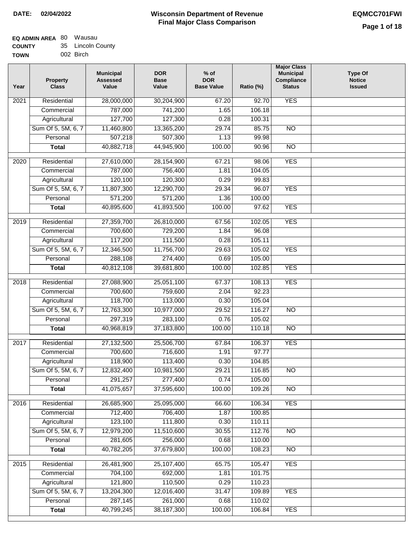#### **EQ ADMIN AREA** 80 Wausau **COUNTY TOWN** 35 Lincoln County 002 Birch

| Year              | <b>Property</b><br><b>Class</b> | <b>Municipal</b><br><b>Assessed</b><br>Value | <b>DOR</b><br><b>Base</b><br>Value | $%$ of<br><b>DOR</b><br><b>Base Value</b> | Ratio (%)        | <b>Major Class</b><br><b>Municipal</b><br>Compliance<br><b>Status</b> | <b>Type Of</b><br><b>Notice</b><br><b>Issued</b> |
|-------------------|---------------------------------|----------------------------------------------|------------------------------------|-------------------------------------------|------------------|-----------------------------------------------------------------------|--------------------------------------------------|
| 2021              | Residential                     | 28,000,000                                   | 30,204,900                         | 67.20                                     | 92.70            | <b>YES</b>                                                            |                                                  |
|                   | Commercial                      | 787,000                                      | 741,200                            | 1.65                                      | 106.18           |                                                                       |                                                  |
|                   | Agricultural                    | 127,700                                      | 127,300                            | 0.28                                      | 100.31           |                                                                       |                                                  |
|                   | Sum Of 5, 5M, 6, 7              | 11,460,800                                   | 13,365,200                         | 29.74                                     | 85.75            | $\overline{NO}$                                                       |                                                  |
|                   | Personal                        | 507,218                                      | 507,300                            | 1.13                                      | 99.98            |                                                                       |                                                  |
|                   | <b>Total</b>                    | 40,882,718                                   | 44,945,900                         | 100.00                                    | 90.96            | $\overline{NO}$                                                       |                                                  |
| $\overline{2020}$ | Residential                     | 27,610,000                                   | 28,154,900                         | 67.21                                     | 98.06            | <b>YES</b>                                                            |                                                  |
|                   | Commercial                      | 787,000                                      | 756,400                            | 1.81                                      | 104.05           |                                                                       |                                                  |
|                   | Agricultural                    | 120,100                                      | 120,300                            | 0.29                                      | 99.83            |                                                                       |                                                  |
|                   | Sum Of 5, 5M, 6, 7              | 11,807,300                                   | 12,290,700                         | 29.34                                     | 96.07            | <b>YES</b>                                                            |                                                  |
|                   | Personal                        | 571,200                                      | 571,200                            | 1.36                                      | 100.00           |                                                                       |                                                  |
|                   | <b>Total</b>                    | 40,895,600                                   | 41,893,500                         | 100.00                                    | 97.62            | <b>YES</b>                                                            |                                                  |
|                   |                                 |                                              |                                    |                                           |                  |                                                                       |                                                  |
| 2019              | Residential                     | 27,359,700                                   | 26,810,000                         | 67.56                                     | 102.05           | <b>YES</b>                                                            |                                                  |
|                   | Commercial                      | 700,600                                      | 729,200                            | 1.84                                      | 96.08            |                                                                       |                                                  |
|                   | Agricultural                    | 117,200                                      | 111,500                            | 0.28                                      | 105.11           |                                                                       |                                                  |
|                   | Sum Of 5, 5M, 6, 7              | 12,346,500                                   | 11,756,700                         | 29.63                                     | 105.02           | <b>YES</b>                                                            |                                                  |
|                   | Personal                        | 288,108                                      | 274,400                            | 0.69                                      | 105.00           |                                                                       |                                                  |
|                   | <b>Total</b>                    | 40,812,108                                   | 39,681,800                         | 100.00                                    | 102.85           | <b>YES</b>                                                            |                                                  |
| 2018              | Residential                     | 27,088,900                                   | 25,051,100                         | 67.37                                     | 108.13           | <b>YES</b>                                                            |                                                  |
|                   | Commercial                      | 700,600                                      | 759,600                            | 2.04                                      | 92.23            |                                                                       |                                                  |
|                   | Agricultural                    | 118,700                                      | 113,000                            | 0.30                                      | 105.04           |                                                                       |                                                  |
|                   | Sum Of 5, 5M, 6, 7              | 12,763,300                                   | 10,977,000                         | 29.52                                     | 116.27           | $\overline{NO}$                                                       |                                                  |
|                   | Personal                        | 297,319                                      | 283,100                            | 0.76                                      | 105.02           |                                                                       |                                                  |
|                   | <b>Total</b>                    | 40,968,819                                   | 37,183,800                         | 100.00                                    | 110.18           | <b>NO</b>                                                             |                                                  |
| 2017              | Residential                     | 27,132,500                                   | 25,506,700                         | 67.84                                     | 106.37           | <b>YES</b>                                                            |                                                  |
|                   | Commercial                      | 700,600                                      | 716,600                            | 1.91                                      | 97.77            |                                                                       |                                                  |
|                   | Agricultural                    | 118,900                                      | 113,400                            | 0.30                                      | 104.85           |                                                                       |                                                  |
|                   | Sum Of 5, 5M, 6, 7              | 12,832,400                                   | 10,981,500                         | 29.21                                     | 116.85           | <b>NO</b>                                                             |                                                  |
|                   | Personal                        | 291,257                                      | 277,400                            | 0.74                                      | 105.00           |                                                                       |                                                  |
|                   | <b>Total</b>                    | 41,075,657                                   | 37,595,600                         | 100.00                                    | 109.26           | <b>NO</b>                                                             |                                                  |
| 2016              | Residential                     | 26,685,900                                   | 25,095,000                         | 66.60                                     | 106.34           | <b>YES</b>                                                            |                                                  |
|                   | Commercial                      | 712,400                                      | 706,400                            | 1.87                                      | 100.85           |                                                                       |                                                  |
|                   | Agricultural                    | 123,100                                      | 111,800                            | 0.30                                      | 110.11           |                                                                       |                                                  |
|                   | Sum Of 5, 5M, 6, 7              | 12,979,200                                   | 11,510,600                         | 30.55                                     | 112.76           | N <sub>O</sub>                                                        |                                                  |
|                   | Personal                        | 281,605                                      | 256,000                            | 0.68                                      | 110.00           |                                                                       |                                                  |
|                   | <b>Total</b>                    | 40,782,205                                   | 37,679,800                         | 100.00                                    | 108.23           | N <sub>O</sub>                                                        |                                                  |
|                   |                                 |                                              |                                    |                                           |                  |                                                                       |                                                  |
| 2015              | Residential                     | 26,481,900                                   | 25,107,400                         | 65.75                                     | 105.47           | <b>YES</b>                                                            |                                                  |
|                   | Commercial                      | 704,100                                      | 692,000                            | 1.81                                      | 101.75           |                                                                       |                                                  |
|                   | Agricultural                    | 121,800                                      | 110,500                            | 0.29                                      | 110.23           |                                                                       |                                                  |
|                   | Sum Of 5, 5M, 6, 7<br>Personal  | 13,204,300<br>287,145                        | 12,016,400<br>261,000              | 31.47<br>0.68                             | 109.89<br>110.02 | <b>YES</b>                                                            |                                                  |
|                   | <b>Total</b>                    | 40,799,245                                   | 38, 187, 300                       | 100.00                                    | 106.84           | <b>YES</b>                                                            |                                                  |
|                   |                                 |                                              |                                    |                                           |                  |                                                                       |                                                  |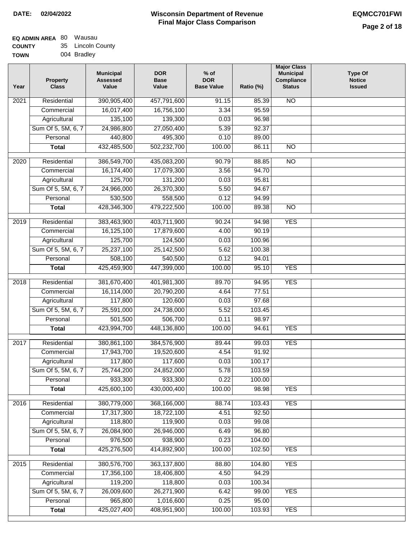| Year              | <b>Property</b><br><b>Class</b> | <b>Municipal</b><br><b>Assessed</b><br>Value | <b>DOR</b><br><b>Base</b><br>Value | % of<br><b>DOR</b><br><b>Base Value</b> | Ratio (%) | <b>Major Class</b><br><b>Municipal</b><br>Compliance<br><b>Status</b> | <b>Type Of</b><br><b>Notice</b><br><b>Issued</b> |
|-------------------|---------------------------------|----------------------------------------------|------------------------------------|-----------------------------------------|-----------|-----------------------------------------------------------------------|--------------------------------------------------|
| $\overline{202}1$ | Residential                     | 390,905,400                                  | 457,791,600                        | 91.15                                   | 85.39     | <b>NO</b>                                                             |                                                  |
|                   | Commercial                      | 16,017,400                                   | 16,756,100                         | 3.34                                    | 95.59     |                                                                       |                                                  |
|                   | Agricultural                    | 135,100                                      | 139,300                            | 0.03                                    | 96.98     |                                                                       |                                                  |
|                   | Sum Of 5, 5M, 6, 7              | 24,986,800                                   | 27,050,400                         | 5.39                                    | 92.37     |                                                                       |                                                  |
|                   | Personal                        | 440,800                                      | 495,300                            | 0.10                                    | 89.00     |                                                                       |                                                  |
|                   | <b>Total</b>                    | 432,485,500                                  | 502,232,700                        | 100.00                                  | 86.11     | $\overline{NO}$                                                       |                                                  |
| $\overline{2020}$ | Residential                     | 386,549,700                                  | 435,083,200                        | 90.79                                   | 88.85     | $\overline{NO}$                                                       |                                                  |
|                   | Commercial                      | 16,174,400                                   | 17,079,300                         | 3.56                                    | 94.70     |                                                                       |                                                  |
|                   | Agricultural                    | 125,700                                      | 131,200                            | 0.03                                    | 95.81     |                                                                       |                                                  |
|                   | Sum Of 5, 5M, 6, 7              | 24,966,000                                   | 26,370,300                         | 5.50                                    | 94.67     |                                                                       |                                                  |
|                   | Personal                        | 530,500                                      | 558,500                            | 0.12                                    | 94.99     |                                                                       |                                                  |
|                   | <b>Total</b>                    | 428,346,300                                  | 479,222,500                        | 100.00                                  | 89.38     | $\overline{NO}$                                                       |                                                  |
| 2019              | Residential                     | 383,463,900                                  | 403,711,900                        | 90.24                                   | 94.98     | <b>YES</b>                                                            |                                                  |
|                   | Commercial                      | 16,125,100                                   | 17,879,600                         | 4.00                                    | 90.19     |                                                                       |                                                  |
|                   | Agricultural                    | 125,700                                      | 124,500                            | 0.03                                    | 100.96    |                                                                       |                                                  |
|                   | Sum Of 5, 5M, 6, 7              | 25,237,100                                   | 25,142,500                         | 5.62                                    | 100.38    |                                                                       |                                                  |
|                   | Personal                        | 508,100                                      | 540,500                            | 0.12                                    | 94.01     |                                                                       |                                                  |
|                   | <b>Total</b>                    | 425,459,900                                  | 447,399,000                        | 100.00                                  | 95.10     | <b>YES</b>                                                            |                                                  |
| 2018              | Residential                     | 381,670,400                                  | 401,981,300                        | 89.70                                   | 94.95     | <b>YES</b>                                                            |                                                  |
|                   | Commercial                      | 16,114,000                                   | 20,790,200                         | 4.64                                    | 77.51     |                                                                       |                                                  |
|                   | Agricultural                    | 117,800                                      | 120,600                            | 0.03                                    | 97.68     |                                                                       |                                                  |
|                   | Sum Of 5, 5M, 6, 7              | 25,591,000                                   | 24,738,000                         | 5.52                                    | 103.45    |                                                                       |                                                  |
|                   | Personal                        | 501,500                                      | 506,700                            | 0.11                                    | 98.97     |                                                                       |                                                  |
|                   | <b>Total</b>                    | 423,994,700                                  | 448,136,800                        | 100.00                                  | 94.61     | <b>YES</b>                                                            |                                                  |
| 2017              | Residential                     | 380,861,100                                  | 384,576,900                        | 89.44                                   | 99.03     | <b>YES</b>                                                            |                                                  |
|                   | Commercial                      | 17,943,700                                   | 19,520,600                         | 4.54                                    | 91.92     |                                                                       |                                                  |
|                   | Agricultural                    | 117,800                                      | 117,600                            | 0.03                                    | 100.17    |                                                                       |                                                  |
|                   | Sum Of 5, 5M, 6, 7              | 25,744,200                                   | 24,852,000                         | 5.78                                    | 103.59    |                                                                       |                                                  |
|                   | Personal                        | 933,300                                      | 933,300                            | 0.22                                    | 100.00    |                                                                       |                                                  |
|                   | <b>Total</b>                    | 425,600,100                                  | 430,000,400                        | 100.00                                  | 98.98     | <b>YES</b>                                                            |                                                  |
| 2016              | Residential                     | 380,779,000                                  | 368,166,000                        | 88.74                                   | 103.43    | <b>YES</b>                                                            |                                                  |
|                   | Commercial                      | 17,317,300                                   | 18,722,100                         | 4.51                                    | 92.50     |                                                                       |                                                  |
|                   | Agricultural                    | 118,800                                      | 119,900                            | 0.03                                    | 99.08     |                                                                       |                                                  |
|                   | Sum Of 5, 5M, 6, 7              | 26,084,900                                   | 26,946,000                         | 6.49                                    | 96.80     |                                                                       |                                                  |
|                   | Personal                        | 976,500                                      | 938,900                            | 0.23                                    | 104.00    |                                                                       |                                                  |
|                   | <b>Total</b>                    | 425,276,500                                  | 414,892,900                        | 100.00                                  | 102.50    | <b>YES</b>                                                            |                                                  |
| 2015              | Residential                     | 380,576,700                                  | 363, 137, 800                      | 88.80                                   | 104.80    | <b>YES</b>                                                            |                                                  |
|                   | Commercial                      | 17,356,100                                   | 18,406,800                         | 4.50                                    | 94.29     |                                                                       |                                                  |
|                   | Agricultural                    | 119,200                                      | 118,800                            | 0.03                                    | 100.34    |                                                                       |                                                  |
|                   | Sum Of 5, 5M, 6, 7              | 26,009,600                                   | 26,271,900                         | 6.42                                    | 99.00     | <b>YES</b>                                                            |                                                  |
|                   | Personal                        | 965,800                                      | 1,016,600                          | 0.25                                    | 95.00     |                                                                       |                                                  |
|                   | <b>Total</b>                    | 425,027,400                                  | 408,951,900                        | 100.00                                  | 103.93    | <b>YES</b>                                                            |                                                  |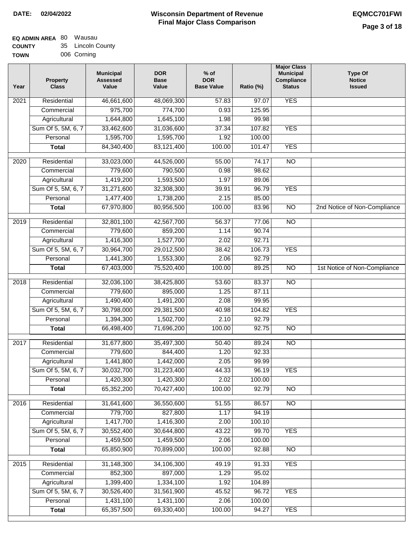#### **EQ ADMIN AREA** 80 Wausau **COUNTY** 35 Lincoln County

| --------    |             |
|-------------|-------------|
| <b>TOWN</b> | 006 Corning |

| Year | <b>Property</b><br><b>Class</b>    | <b>Municipal</b><br><b>Assessed</b><br>Value | <b>DOR</b><br><b>Base</b><br>Value | $%$ of<br><b>DOR</b><br><b>Base Value</b> | Ratio (%)      | <b>Major Class</b><br><b>Municipal</b><br>Compliance<br><b>Status</b> | <b>Type Of</b><br><b>Notice</b><br><b>Issued</b> |
|------|------------------------------------|----------------------------------------------|------------------------------------|-------------------------------------------|----------------|-----------------------------------------------------------------------|--------------------------------------------------|
| 2021 | Residential                        | 46,661,600                                   | 48,069,300                         | 57.83                                     | 97.07          | <b>YES</b>                                                            |                                                  |
|      | Commercial                         | 975,700                                      | 774,700                            | 0.93                                      | 125.95         |                                                                       |                                                  |
|      | Agricultural                       | 1,644,800                                    | 1,645,100                          | 1.98                                      | 99.98          |                                                                       |                                                  |
|      | Sum Of 5, 5M, 6, 7                 | 33,462,600                                   | 31,036,600                         | 37.34                                     | 107.82         | <b>YES</b>                                                            |                                                  |
|      | Personal                           | 1,595,700                                    | 1,595,700                          | 1.92                                      | 100.00         |                                                                       |                                                  |
|      | <b>Total</b>                       | 84,340,400                                   | 83,121,400                         | 100.00                                    | 101.47         | <b>YES</b>                                                            |                                                  |
| 2020 | Residential                        | 33,023,000                                   | 44,526,000                         | 55.00                                     | 74.17          | $\overline{NO}$                                                       |                                                  |
|      | Commercial                         | 779,600                                      | 790,500                            | 0.98                                      | 98.62          |                                                                       |                                                  |
|      | Agricultural                       | 1,419,200                                    | 1,593,500                          | 1.97                                      | 89.06          |                                                                       |                                                  |
|      | Sum Of 5, 5M, 6, 7                 | 31,271,600                                   | 32,308,300                         | 39.91                                     | 96.79          | <b>YES</b>                                                            |                                                  |
|      | Personal                           | 1,477,400                                    | 1,738,200                          | 2.15                                      | 85.00          |                                                                       |                                                  |
|      | <b>Total</b>                       | 67,970,800                                   | 80,956,500                         | 100.00                                    | 83.96          | $\overline{NO}$                                                       | 2nd Notice of Non-Compliance                     |
|      |                                    |                                              |                                    |                                           |                |                                                                       |                                                  |
| 2019 | Residential                        | 32,801,100<br>779,600                        | 42,567,700<br>859,200              | 56.37                                     | 77.06<br>90.74 | <b>NO</b>                                                             |                                                  |
|      | Commercial                         |                                              |                                    | 1.14<br>2.02                              | 92.71          |                                                                       |                                                  |
|      | Agricultural<br>Sum Of 5, 5M, 6, 7 | 1,416,300<br>30,964,700                      | 1,527,700                          | 38.42                                     | 106.73         | <b>YES</b>                                                            |                                                  |
|      |                                    |                                              | 29,012,500                         |                                           |                |                                                                       |                                                  |
|      | Personal                           | 1,441,300<br>67,403,000                      | 1,553,300                          | 2.06<br>100.00                            | 92.79<br>89.25 | $\overline{N}$                                                        |                                                  |
|      | <b>Total</b>                       |                                              | 75,520,400                         |                                           |                |                                                                       | 1st Notice of Non-Compliance                     |
| 2018 | Residential                        | 32,036,100                                   | 38,425,800                         | 53.60                                     | 83.37          | $\overline{NO}$                                                       |                                                  |
|      | Commercial                         | 779,600                                      | 895,000                            | 1.25                                      | 87.11          |                                                                       |                                                  |
|      | Agricultural                       | 1,490,400                                    | 1,491,200                          | 2.08                                      | 99.95          |                                                                       |                                                  |
|      | Sum Of 5, 5M, 6, 7                 | 30,798,000                                   | 29,381,500                         | 40.98                                     | 104.82         | <b>YES</b>                                                            |                                                  |
|      | Personal                           | 1,394,300                                    | 1,502,700                          | 2.10                                      | 92.79          |                                                                       |                                                  |
|      | <b>Total</b>                       | 66,498,400                                   | 71,696,200                         | 100.00                                    | 92.75          | <b>NO</b>                                                             |                                                  |
| 2017 | Residential                        | 31,677,800                                   | 35,497,300                         | 50.40                                     | 89.24          | N <sub>O</sub>                                                        |                                                  |
|      | Commercial                         | 779,600                                      | 844,400                            | 1.20                                      | 92.33          |                                                                       |                                                  |
|      | Agricultural                       | 1,441,800                                    | 1,442,000                          | 2.05                                      | 99.99          |                                                                       |                                                  |
|      | Sum Of 5, 5M, 6, 7                 | 30,032,700                                   | 31,223,400                         | 44.33                                     | 96.19          | <b>YES</b>                                                            |                                                  |
|      | Personal                           | 1,420,300                                    | 1,420,300                          | 2.02                                      | 100.00         |                                                                       |                                                  |
|      | <b>Total</b>                       | 65,352,200                                   | 70,427,400                         | 100.00                                    | 92.79          | $\overline{3}$                                                        |                                                  |
| 2016 | Residential                        | 31,641,600                                   | 36,550,600                         | 51.55                                     | 86.57          | $\overline{NO}$                                                       |                                                  |
|      | Commercial                         | 779,700                                      | 827,800                            | 1.17                                      | 94.19          |                                                                       |                                                  |
|      | Agricultural                       | 1,417,700                                    | 1,416,300                          | 2.00                                      | 100.10         |                                                                       |                                                  |
|      | Sum Of 5, 5M, 6, 7                 | 30,552,400                                   | 30,644,800                         | 43.22                                     | 99.70          | <b>YES</b>                                                            |                                                  |
|      | Personal                           | 1,459,500                                    | 1,459,500                          | 2.06                                      | 100.00         |                                                                       |                                                  |
|      | <b>Total</b>                       | 65,850,900                                   | 70,899,000                         | 100.00                                    | 92.88          | $\overline{NO}$                                                       |                                                  |
| 2015 | Residential                        | 31,148,300                                   | 34,106,300                         | 49.19                                     | 91.33          | <b>YES</b>                                                            |                                                  |
|      | Commercial                         | 852,300                                      | 897,000                            | 1.29                                      | 95.02          |                                                                       |                                                  |
|      | Agricultural                       | 1,399,400                                    | 1,334,100                          | 1.92                                      | 104.89         |                                                                       |                                                  |
|      | Sum Of 5, 5M, 6, 7                 | 30,526,400                                   | 31,561,900                         | 45.52                                     | 96.72          | <b>YES</b>                                                            |                                                  |
|      | Personal                           | 1,431,100                                    | 1,431,100                          | 2.06                                      | 100.00         |                                                                       |                                                  |
|      | <b>Total</b>                       | 65,357,500                                   | 69,330,400                         | 100.00                                    | 94.27          | <b>YES</b>                                                            |                                                  |
|      |                                    |                                              |                                    |                                           |                |                                                                       |                                                  |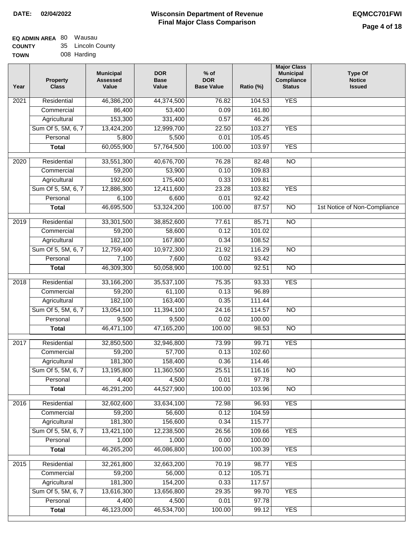| <b>TOWN</b> | 008 Harding |
|-------------|-------------|
|             |             |

| Year              | <b>Property</b><br><b>Class</b> | <b>Municipal</b><br><b>Assessed</b><br>Value | <b>DOR</b><br><b>Base</b><br>Value | $%$ of<br><b>DOR</b><br><b>Base Value</b> | Ratio (%) | <b>Major Class</b><br><b>Municipal</b><br>Compliance<br><b>Status</b> | <b>Type Of</b><br><b>Notice</b><br><b>Issued</b> |
|-------------------|---------------------------------|----------------------------------------------|------------------------------------|-------------------------------------------|-----------|-----------------------------------------------------------------------|--------------------------------------------------|
| $\overline{202}1$ | Residential                     | 46,386,200                                   | 44,374,500                         | 76.82                                     | 104.53    | <b>YES</b>                                                            |                                                  |
|                   | Commercial                      | 86,400                                       | 53,400                             | 0.09                                      | 161.80    |                                                                       |                                                  |
|                   | Agricultural                    | 153,300                                      | 331,400                            | 0.57                                      | 46.26     |                                                                       |                                                  |
|                   | Sum Of 5, 5M, 6, 7              | 13,424,200                                   | 12,999,700                         | 22.50                                     | 103.27    | <b>YES</b>                                                            |                                                  |
|                   | Personal                        | 5,800                                        | 5,500                              | 0.01                                      | 105.45    |                                                                       |                                                  |
|                   | <b>Total</b>                    | 60,055,900                                   | 57,764,500                         | 100.00                                    | 103.97    | <b>YES</b>                                                            |                                                  |
| $\overline{2020}$ | Residential                     | 33,551,300                                   | 40,676,700                         | 76.28                                     | 82.48     | $\overline{NO}$                                                       |                                                  |
|                   | Commercial                      | 59,200                                       | 53,900                             | 0.10                                      | 109.83    |                                                                       |                                                  |
|                   | Agricultural                    | 192,600                                      | 175,400                            | 0.33                                      | 109.81    |                                                                       |                                                  |
|                   | Sum Of 5, 5M, 6, 7              | 12,886,300                                   | 12,411,600                         | 23.28                                     | 103.82    | <b>YES</b>                                                            |                                                  |
|                   | Personal                        | 6,100                                        | 6,600                              | 0.01                                      | 92.42     |                                                                       |                                                  |
|                   | <b>Total</b>                    | 46,695,500                                   | 53,324,200                         | 100.00                                    | 87.57     | $\overline{NO}$                                                       | 1st Notice of Non-Compliance                     |
| 2019              | Residential                     | 33,301,500                                   | 38,852,600                         | 77.61                                     | 85.71     | $\overline{NO}$                                                       |                                                  |
|                   | Commercial                      | 59,200                                       | 58,600                             | 0.12                                      | 101.02    |                                                                       |                                                  |
|                   | Agricultural                    | 182,100                                      | 167,800                            | 0.34                                      | 108.52    |                                                                       |                                                  |
|                   | Sum Of 5, 5M, 6, 7              | 12,759,400                                   | 10,972,300                         | 21.92                                     | 116.29    | $\overline{NO}$                                                       |                                                  |
|                   | Personal                        | 7,100                                        | 7,600                              | 0.02                                      | 93.42     |                                                                       |                                                  |
|                   | <b>Total</b>                    | 46,309,300                                   | 50,058,900                         | 100.00                                    | 92.51     | $\overline{NO}$                                                       |                                                  |
|                   |                                 |                                              |                                    |                                           |           |                                                                       |                                                  |
| 2018              | Residential                     | 33,166,200                                   | 35,537,100                         | 75.35                                     | 93.33     | <b>YES</b>                                                            |                                                  |
|                   | Commercial                      | 59,200                                       | 61,100                             | 0.13                                      | 96.89     |                                                                       |                                                  |
|                   | Agricultural                    | 182,100                                      | 163,400                            | 0.35                                      | 111.44    |                                                                       |                                                  |
|                   | Sum Of 5, 5M, 6, 7              | 13,054,100                                   | 11,394,100                         | 24.16                                     | 114.57    | $\overline{10}$                                                       |                                                  |
|                   | Personal                        | 9,500                                        | 9,500                              | 0.02                                      | 100.00    |                                                                       |                                                  |
|                   | <b>Total</b>                    | 46,471,100                                   | 47,165,200                         | 100.00                                    | 98.53     | <b>NO</b>                                                             |                                                  |
| $\overline{2017}$ | Residential                     | 32,850,500                                   | 32,946,800                         | 73.99                                     | 99.71     | <b>YES</b>                                                            |                                                  |
|                   | Commercial                      | 59,200                                       | 57,700                             | 0.13                                      | 102.60    |                                                                       |                                                  |
|                   | Agricultural                    | 181,300                                      | 158,400                            | 0.36                                      | 114.46    |                                                                       |                                                  |
|                   | Sum Of 5, 5M, 6, 7              | 13,195,800                                   | 11,360,500                         | 25.51                                     | 116.16    | <b>NO</b>                                                             |                                                  |
|                   | Personal                        | 4,400                                        | 4,500                              | 0.01                                      | 97.78     |                                                                       |                                                  |
|                   | <b>Total</b>                    | 46,291,200                                   | 44,527,900                         | 100.00                                    | 103.96    | <b>NO</b>                                                             |                                                  |
| 2016              | Residential                     | 32,602,600                                   | 33,634,100                         | 72.98                                     | 96.93     | <b>YES</b>                                                            |                                                  |
|                   | Commercial                      | 59,200                                       | 56,600                             | 0.12                                      | 104.59    |                                                                       |                                                  |
|                   | Agricultural                    | 181,300                                      | 156,600                            | 0.34                                      | 115.77    |                                                                       |                                                  |
|                   | Sum Of 5, 5M, 6, 7              | 13,421,100                                   | 12,238,500                         | 26.56                                     | 109.66    | <b>YES</b>                                                            |                                                  |
|                   | Personal                        | 1,000                                        | 1,000                              | 0.00                                      | 100.00    |                                                                       |                                                  |
|                   | <b>Total</b>                    | 46,265,200                                   | 46,086,800                         | 100.00                                    | 100.39    | <b>YES</b>                                                            |                                                  |
| 2015              | Residential                     | 32,261,800                                   | 32,663,200                         | 70.19                                     | 98.77     | <b>YES</b>                                                            |                                                  |
|                   | Commercial                      | 59,200                                       | 56,000                             | 0.12                                      | 105.71    |                                                                       |                                                  |
|                   | Agricultural                    | 181,300                                      | 154,200                            | 0.33                                      | 117.57    |                                                                       |                                                  |
|                   | Sum Of 5, 5M, 6, 7              | 13,616,300                                   | 13,656,800                         | 29.35                                     | 99.70     | <b>YES</b>                                                            |                                                  |
|                   | Personal                        | 4,400                                        | 4,500                              | 0.01                                      | 97.78     |                                                                       |                                                  |
|                   | <b>Total</b>                    | 46,123,000                                   | 46,534,700                         | 100.00                                    | 99.12     | <b>YES</b>                                                            |                                                  |
|                   |                                 |                                              |                                    |                                           |           |                                                                       |                                                  |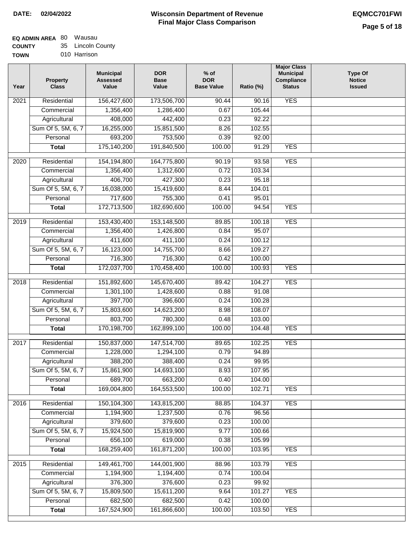# **Wisconsin Department of Revenue Final Major Class Comparison DATE: 02/04/2022 EQMCC701FWI**

٦

| -------     |              |
|-------------|--------------|
| <b>TOWN</b> | 010 Harrison |

| Year | <b>Property</b><br><b>Class</b> | <b>Municipal</b><br><b>Assessed</b><br>Value | <b>DOR</b><br><b>Base</b><br>Value | $%$ of<br><b>DOR</b><br><b>Base Value</b> | Ratio (%) | <b>Major Class</b><br><b>Municipal</b><br>Compliance<br><b>Status</b> | <b>Type Of</b><br><b>Notice</b><br><b>Issued</b> |
|------|---------------------------------|----------------------------------------------|------------------------------------|-------------------------------------------|-----------|-----------------------------------------------------------------------|--------------------------------------------------|
| 2021 | Residential                     | 156,427,600                                  | 173,506,700                        | 90.44                                     | 90.16     | <b>YES</b>                                                            |                                                  |
|      | Commercial                      | 1,356,400                                    | 1,286,400                          | 0.67                                      | 105.44    |                                                                       |                                                  |
|      | Agricultural                    | 408,000                                      | 442,400                            | 0.23                                      | 92.22     |                                                                       |                                                  |
|      | Sum Of 5, 5M, 6, 7              | 16,255,000                                   | 15,851,500                         | 8.26                                      | 102.55    |                                                                       |                                                  |
|      | Personal                        | 693,200                                      | 753,500                            | 0.39                                      | 92.00     |                                                                       |                                                  |
|      | <b>Total</b>                    | 175,140,200                                  | 191,840,500                        | 100.00                                    | 91.29     | <b>YES</b>                                                            |                                                  |
| 2020 | Residential                     | 154,194,800                                  | 164,775,800                        | 90.19                                     | 93.58     | <b>YES</b>                                                            |                                                  |
|      | Commercial                      | 1,356,400                                    | 1,312,600                          | 0.72                                      | 103.34    |                                                                       |                                                  |
|      | Agricultural                    | 406,700                                      | 427,300                            | 0.23                                      | 95.18     |                                                                       |                                                  |
|      | Sum Of 5, 5M, 6, 7              | 16,038,000                                   | 15,419,600                         | 8.44                                      | 104.01    |                                                                       |                                                  |
|      | Personal                        | 717,600                                      | 755,300                            | 0.41                                      | 95.01     |                                                                       |                                                  |
|      | <b>Total</b>                    | 172,713,500                                  | 182,690,600                        | 100.00                                    | 94.54     | <b>YES</b>                                                            |                                                  |
|      |                                 |                                              |                                    |                                           |           |                                                                       |                                                  |
| 2019 | Residential                     | 153,430,400                                  | 153,148,500                        | 89.85                                     | 100.18    | <b>YES</b>                                                            |                                                  |
|      | Commercial                      | 1,356,400                                    | 1,426,800                          | 0.84                                      | 95.07     |                                                                       |                                                  |
|      | Agricultural                    | 411,600                                      | 411,100                            | 0.24                                      | 100.12    |                                                                       |                                                  |
|      | Sum Of 5, 5M, 6, 7              | 16,123,000                                   | 14,755,700                         | 8.66                                      | 109.27    |                                                                       |                                                  |
|      | Personal                        | 716,300                                      | 716,300                            | 0.42                                      | 100.00    |                                                                       |                                                  |
|      | <b>Total</b>                    | 172,037,700                                  | 170,458,400                        | 100.00                                    | 100.93    | <b>YES</b>                                                            |                                                  |
| 2018 | Residential                     | 151,892,600                                  | 145,670,400                        | 89.42                                     | 104.27    | <b>YES</b>                                                            |                                                  |
|      | Commercial                      | 1,301,100                                    | 1,428,600                          | 0.88                                      | 91.08     |                                                                       |                                                  |
|      | Agricultural                    | 397,700                                      | 396,600                            | 0.24                                      | 100.28    |                                                                       |                                                  |
|      | Sum Of 5, 5M, 6, 7              | 15,803,600                                   | 14,623,200                         | 8.98                                      | 108.07    |                                                                       |                                                  |
|      | Personal                        | 803,700                                      | 780,300                            | 0.48                                      | 103.00    |                                                                       |                                                  |
|      | <b>Total</b>                    | 170,198,700                                  | 162,899,100                        | 100.00                                    | 104.48    | <b>YES</b>                                                            |                                                  |
| 2017 | Residential                     | 150,837,000                                  | 147,514,700                        | 89.65                                     | 102.25    | <b>YES</b>                                                            |                                                  |
|      | Commercial                      | 1,228,000                                    | 1,294,100                          | 0.79                                      | 94.89     |                                                                       |                                                  |
|      | Agricultural                    | 388,200                                      | 388,400                            | 0.24                                      | 99.95     |                                                                       |                                                  |
|      | Sum Of 5, 5M, 6, 7              | 15,861,900                                   | 14,693,100                         | 8.93                                      | 107.95    |                                                                       |                                                  |
|      | Personal                        | 689,700                                      | 663,200                            | 0.40                                      | 104.00    |                                                                       |                                                  |
|      | <b>Total</b>                    | 169,004,800                                  | 164,553,500                        | 100.00                                    | 102.71    | <b>YES</b>                                                            |                                                  |
| 2016 | Residential                     | 150,104,300                                  | 143,815,200                        | 88.85                                     | 104.37    | <b>YES</b>                                                            |                                                  |
|      | Commercial                      | 1,194,900                                    | 1,237,500                          | 0.76                                      | 96.56     |                                                                       |                                                  |
|      | Agricultural                    | 379,600                                      | 379,600                            | 0.23                                      | 100.00    |                                                                       |                                                  |
|      | Sum Of 5, 5M, 6, 7              | 15,924,500                                   | 15,819,900                         | 9.77                                      | 100.66    |                                                                       |                                                  |
|      | Personal                        | 656,100                                      | 619,000                            | 0.38                                      | 105.99    |                                                                       |                                                  |
|      | <b>Total</b>                    | 168,259,400                                  | 161,871,200                        | 100.00                                    | 103.95    | <b>YES</b>                                                            |                                                  |
| 2015 | Residential                     | 149,461,700                                  | 144,001,900                        | 88.96                                     | 103.79    | <b>YES</b>                                                            |                                                  |
|      | Commercial                      | 1,194,900                                    | 1,194,400                          | 0.74                                      | 100.04    |                                                                       |                                                  |
|      | Agricultural                    | 376,300                                      | 376,600                            | 0.23                                      | 99.92     |                                                                       |                                                  |
|      | Sum Of 5, 5M, 6, 7              | 15,809,500                                   | 15,611,200                         | 9.64                                      | 101.27    | <b>YES</b>                                                            |                                                  |
|      | Personal                        | 682,500                                      | 682,500                            | 0.42                                      | 100.00    |                                                                       |                                                  |
|      | <b>Total</b>                    | 167,524,900                                  | 161,866,600                        | 100.00                                    | 103.50    | <b>YES</b>                                                            |                                                  |
|      |                                 |                                              |                                    |                                           |           |                                                                       |                                                  |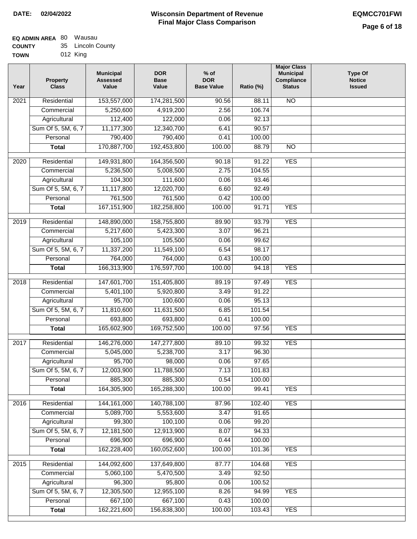| TOWN | 012 King |  |
|------|----------|--|
|      |          |  |

| Year | <b>Property</b><br><b>Class</b> | <b>Municipal</b><br><b>Assessed</b><br>Value | <b>DOR</b><br><b>Base</b><br>Value | $%$ of<br><b>DOR</b><br><b>Base Value</b> | Ratio (%)        | <b>Major Class</b><br><b>Municipal</b><br>Compliance<br><b>Status</b> | <b>Type Of</b><br><b>Notice</b><br><b>Issued</b> |
|------|---------------------------------|----------------------------------------------|------------------------------------|-------------------------------------------|------------------|-----------------------------------------------------------------------|--------------------------------------------------|
| 2021 | Residential                     | 153,557,000                                  | 174,281,500                        | 90.56                                     | 88.11            | <b>NO</b>                                                             |                                                  |
|      | Commercial                      | 5,250,600                                    | 4,919,200                          | 2.56                                      | 106.74           |                                                                       |                                                  |
|      | Agricultural                    | 112,400                                      | 122,000                            | 0.06                                      | 92.13            |                                                                       |                                                  |
|      | Sum Of 5, 5M, 6, 7              | 11,177,300                                   | 12,340,700                         | 6.41                                      | 90.57            |                                                                       |                                                  |
|      | Personal                        | 790,400                                      | 790,400                            | 0.41                                      | 100.00           |                                                                       |                                                  |
|      | <b>Total</b>                    | 170,887,700                                  | 192,453,800                        | 100.00                                    | 88.79            | $\overline{NO}$                                                       |                                                  |
| 2020 | Residential                     | 149,931,800                                  | 164,356,500                        | 90.18                                     | 91.22            | <b>YES</b>                                                            |                                                  |
|      | Commercial                      | 5,236,500                                    | 5,008,500                          | 2.75                                      | 104.55           |                                                                       |                                                  |
|      | Agricultural                    | 104,300                                      | 111,600                            | 0.06                                      | 93.46            |                                                                       |                                                  |
|      | Sum Of 5, 5M, 6, 7              | 11,117,800                                   | 12,020,700                         | 6.60                                      | 92.49            |                                                                       |                                                  |
|      | Personal                        | 761,500                                      | 761,500                            | 0.42                                      | 100.00           |                                                                       |                                                  |
|      | <b>Total</b>                    | 167, 151, 900                                | 182,258,800                        | 100.00                                    | 91.71            | <b>YES</b>                                                            |                                                  |
| 2019 | Residential                     | 148,890,000                                  | 158,755,800                        | 89.90                                     | 93.79            | <b>YES</b>                                                            |                                                  |
|      | Commercial                      | 5,217,600                                    | 5,423,300                          | 3.07                                      | 96.21            |                                                                       |                                                  |
|      | Agricultural                    | 105,100                                      | 105,500                            | 0.06                                      | 99.62            |                                                                       |                                                  |
|      | Sum Of 5, 5M, 6, 7              | 11,337,200                                   | 11,549,100                         | 6.54                                      | 98.17            |                                                                       |                                                  |
|      | Personal                        | 764,000                                      | 764,000                            | 0.43                                      | 100.00           |                                                                       |                                                  |
|      | <b>Total</b>                    | 166,313,900                                  | 176,597,700                        | 100.00                                    | 94.18            | <b>YES</b>                                                            |                                                  |
|      |                                 |                                              |                                    |                                           |                  |                                                                       |                                                  |
| 2018 | Residential                     | 147,601,700                                  | 151,405,800                        | 89.19                                     | 97.49            | <b>YES</b>                                                            |                                                  |
|      | Commercial                      | 5,401,100                                    | 5,920,800                          | 3.49                                      | 91.22            |                                                                       |                                                  |
|      | Agricultural                    | 95,700                                       | 100,600                            | 0.06                                      | 95.13            |                                                                       |                                                  |
|      | Sum Of 5, 5M, 6, 7              | 11,810,600                                   | 11,631,500                         | 6.85                                      | 101.54           |                                                                       |                                                  |
|      | Personal                        | 693,800                                      | 693,800                            | 0.41                                      | 100.00           |                                                                       |                                                  |
|      | <b>Total</b>                    | 165,602,900                                  | 169,752,500                        | 100.00                                    | 97.56            | <b>YES</b>                                                            |                                                  |
| 2017 | Residential                     | 146,276,000                                  | 147,277,800                        | 89.10                                     | 99.32            | <b>YES</b>                                                            |                                                  |
|      | Commercial                      | 5,045,000                                    | 5,238,700                          | 3.17                                      | 96.30            |                                                                       |                                                  |
|      | Agricultural                    | 95,700                                       | 98,000                             | 0.06                                      | 97.65            |                                                                       |                                                  |
|      | Sum Of 5, 5M, 6, 7              | 12,003,900                                   | 11,788,500                         | 7.13                                      | 101.83           |                                                                       |                                                  |
|      | Personal                        | 885,300                                      | 885,300                            | 0.54                                      | 100.00           |                                                                       |                                                  |
|      | <b>Total</b>                    | 164,305,900                                  | 165,288,300                        | 100.00                                    | 99.41            | <b>YES</b>                                                            |                                                  |
| 2016 | Residential                     | 144, 161, 000                                | 140,788,100                        | 87.96                                     | 102.40           | <b>YES</b>                                                            |                                                  |
|      | Commercial                      | 5,089,700                                    | 5,553,600                          | 3.47                                      | 91.65            |                                                                       |                                                  |
|      | Agricultural                    | 99,300                                       | 100,100                            | 0.06                                      | 99.20            |                                                                       |                                                  |
|      | Sum Of 5, 5M, 6, 7              | 12,181,500                                   | 12,913,900                         | 8.07                                      | 94.33            |                                                                       |                                                  |
|      | Personal                        | 696,900                                      | 696,900                            | 0.44                                      | 100.00           |                                                                       |                                                  |
|      | <b>Total</b>                    | 162,228,400                                  | 160,052,600                        | 100.00                                    | 101.36           | <b>YES</b>                                                            |                                                  |
|      |                                 |                                              |                                    |                                           |                  |                                                                       |                                                  |
| 2015 | Residential                     | 144,092,600                                  | 137,649,800                        | 87.77                                     | 104.68           | <b>YES</b>                                                            |                                                  |
|      | Commercial                      | 5,060,100                                    | 5,470,500                          | 3.49                                      | 92.50            |                                                                       |                                                  |
|      | Agricultural                    | 96,300                                       | 95,800                             | 0.06                                      | 100.52           |                                                                       |                                                  |
|      | Sum Of 5, 5M, 6, 7              | 12,305,500                                   | 12,955,100                         | 8.26                                      | 94.99            | <b>YES</b>                                                            |                                                  |
|      | Personal                        | 667,100                                      | 667,100<br>156,838,300             | 0.43<br>100.00                            | 100.00<br>103.43 | <b>YES</b>                                                            |                                                  |
|      | <b>Total</b>                    | 162,221,600                                  |                                    |                                           |                  |                                                                       |                                                  |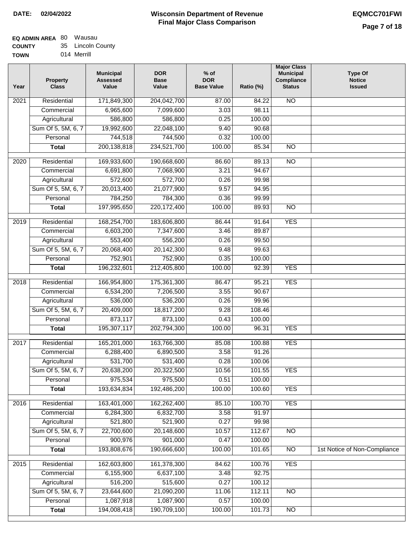| ------      | ------------ |
|-------------|--------------|
| <b>TOWN</b> | 014 Merrill  |

| Year              | <b>Property</b><br><b>Class</b> | <b>Municipal</b><br><b>Assessed</b><br>Value | <b>DOR</b><br><b>Base</b><br>Value | $%$ of<br><b>DOR</b><br><b>Base Value</b> | Ratio (%) | <b>Major Class</b><br><b>Municipal</b><br>Compliance<br><b>Status</b> | <b>Type Of</b><br><b>Notice</b><br><b>Issued</b> |
|-------------------|---------------------------------|----------------------------------------------|------------------------------------|-------------------------------------------|-----------|-----------------------------------------------------------------------|--------------------------------------------------|
| 2021              | Residential                     | 171,849,300                                  | 204,042,700                        | 87.00                                     | 84.22     | $\overline{NO}$                                                       |                                                  |
|                   | Commercial                      | 6,965,600                                    | 7,099,600                          | 3.03                                      | 98.11     |                                                                       |                                                  |
|                   | Agricultural                    | 586,800                                      | 586,800                            | 0.25                                      | 100.00    |                                                                       |                                                  |
|                   | Sum Of 5, 5M, 6, 7              | 19,992,600                                   | 22,048,100                         | 9.40                                      | 90.68     |                                                                       |                                                  |
|                   | Personal                        | 744,518                                      | 744,500                            | 0.32                                      | 100.00    |                                                                       |                                                  |
|                   | <b>Total</b>                    | 200, 138, 818                                | 234,521,700                        | 100.00                                    | 85.34     | $\overline{NO}$                                                       |                                                  |
| 2020              | Residential                     | 169,933,600                                  | 190,668,600                        | 86.60                                     | 89.13     | $\overline{3}$                                                        |                                                  |
|                   | Commercial                      | 6,691,800                                    | 7,068,900                          | 3.21                                      | 94.67     |                                                                       |                                                  |
|                   | Agricultural                    | 572,600                                      | 572,700                            | 0.26                                      | 99.98     |                                                                       |                                                  |
|                   | Sum Of 5, 5M, 6, 7              | 20,013,400                                   | 21,077,900                         | 9.57                                      | 94.95     |                                                                       |                                                  |
|                   | Personal                        | 784,250                                      | 784,300                            | 0.36                                      | 99.99     |                                                                       |                                                  |
|                   | <b>Total</b>                    | 197,995,650                                  | 220,172,400                        | 100.00                                    | 89.93     | $\overline{NO}$                                                       |                                                  |
|                   |                                 |                                              |                                    |                                           |           |                                                                       |                                                  |
| 2019              | Residential                     | 168,254,700                                  | 183,606,800                        | 86.44                                     | 91.64     | <b>YES</b>                                                            |                                                  |
|                   | Commercial                      | 6,603,200                                    | 7,347,600                          | 3.46                                      | 89.87     |                                                                       |                                                  |
|                   | Agricultural                    | 553,400                                      | 556,200                            | 0.26                                      | 99.50     |                                                                       |                                                  |
|                   | Sum Of 5, 5M, 6, 7              | 20,068,400                                   | 20,142,300                         | 9.48                                      | 99.63     |                                                                       |                                                  |
|                   | Personal                        | 752,901                                      | 752,900                            | 0.35                                      | 100.00    |                                                                       |                                                  |
|                   | <b>Total</b>                    | 196,232,601                                  | 212,405,800                        | 100.00                                    | 92.39     | <b>YES</b>                                                            |                                                  |
| $\overline{2018}$ | Residential                     | 166,954,800                                  | 175,361,300                        | 86.47                                     | 95.21     | <b>YES</b>                                                            |                                                  |
|                   | Commercial                      | 6,534,200                                    | 7,206,500                          | 3.55                                      | 90.67     |                                                                       |                                                  |
|                   | Agricultural                    | 536,000                                      | 536,200                            | 0.26                                      | 99.96     |                                                                       |                                                  |
|                   | Sum Of 5, 5M, 6, 7              | 20,409,000                                   | 18,817,200                         | 9.28                                      | 108.46    |                                                                       |                                                  |
|                   | Personal                        | 873,117                                      | 873,100                            | 0.43                                      | 100.00    |                                                                       |                                                  |
|                   | <b>Total</b>                    | 195,307,117                                  | 202,794,300                        | 100.00                                    | 96.31     | <b>YES</b>                                                            |                                                  |
| 2017              | Residential                     | 165,201,000                                  | 163,766,300                        | 85.08                                     | 100.88    | <b>YES</b>                                                            |                                                  |
|                   | Commercial                      | 6,288,400                                    | 6,890,500                          | 3.58                                      | 91.26     |                                                                       |                                                  |
|                   | Agricultural                    | 531,700                                      | 531,400                            | 0.28                                      | 100.06    |                                                                       |                                                  |
|                   | Sum Of 5, 5M, 6, 7              | 20,638,200                                   | 20,322,500                         | 10.56                                     | 101.55    | <b>YES</b>                                                            |                                                  |
|                   | Personal                        | 975,534                                      | 975,500                            | 0.51                                      | 100.00    |                                                                       |                                                  |
|                   | <b>Total</b>                    | 193,634,834                                  | 192,486,200                        | 100.00                                    | 100.60    | <b>YES</b>                                                            |                                                  |
| 2016              | Residential                     | 163,401,000                                  | 162,262,400                        | 85.10                                     | 100.70    | <b>YES</b>                                                            |                                                  |
|                   | Commercial                      | 6,284,300                                    | 6,832,700                          | 3.58                                      | 91.97     |                                                                       |                                                  |
|                   | Agricultural                    | 521,800                                      | 521,900                            | 0.27                                      | 99.98     |                                                                       |                                                  |
|                   | Sum Of 5, 5M, 6, 7              | 22,700,600                                   | 20,148,600                         | 10.57                                     | 112.67    | N <sub>O</sub>                                                        |                                                  |
|                   | Personal                        | 900,976                                      | 901,000                            | 0.47                                      | 100.00    |                                                                       |                                                  |
|                   | <b>Total</b>                    | 193,808,676                                  | 190,666,600                        | 100.00                                    | 101.65    | N <sub>O</sub>                                                        | 1st Notice of Non-Compliance                     |
| $\overline{2015}$ | Residential                     | 162,603,800                                  | 161,378,300                        | 84.62                                     | 100.76    | <b>YES</b>                                                            |                                                  |
|                   | Commercial                      | 6,155,900                                    | 6,637,100                          | 3.48                                      | 92.75     |                                                                       |                                                  |
|                   | Agricultural                    | 516,200                                      | 515,600                            | 0.27                                      | 100.12    |                                                                       |                                                  |
|                   | Sum Of 5, 5M, 6, 7              | 23,644,600                                   | 21,090,200                         | 11.06                                     | 112.11    | N <sub>O</sub>                                                        |                                                  |
|                   | Personal                        | 1,087,918                                    | 1,087,900                          | 0.57                                      | 100.00    |                                                                       |                                                  |
|                   | <b>Total</b>                    | 194,008,418                                  | 190,709,100                        | 100.00                                    | 101.73    | N <sub>O</sub>                                                        |                                                  |
|                   |                                 |                                              |                                    |                                           |           |                                                                       |                                                  |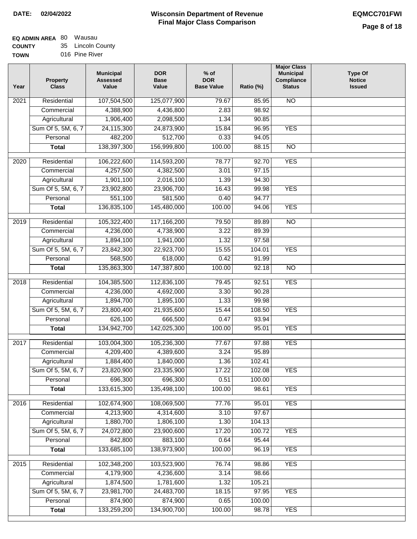# **EQ ADMIN AREA** 80 Wausau **COUNTY**

**TOWN** 35 Lincoln County 016 Pine River

| Year | <b>Property</b><br><b>Class</b> | <b>Municipal</b><br><b>Assessed</b><br>Value | <b>DOR</b><br><b>Base</b><br>Value | $%$ of<br><b>DOR</b><br><b>Base Value</b> | Ratio (%) | <b>Major Class</b><br><b>Municipal</b><br>Compliance<br><b>Status</b> | <b>Type Of</b><br><b>Notice</b><br><b>Issued</b> |
|------|---------------------------------|----------------------------------------------|------------------------------------|-------------------------------------------|-----------|-----------------------------------------------------------------------|--------------------------------------------------|
| 2021 | Residential                     | 107,504,500                                  | 125,077,900                        | 79.67                                     | 85.95     | <b>NO</b>                                                             |                                                  |
|      | Commercial                      | 4,388,900                                    | 4,436,800                          | 2.83                                      | 98.92     |                                                                       |                                                  |
|      | Agricultural                    | 1,906,400                                    | 2,098,500                          | 1.34                                      | 90.85     |                                                                       |                                                  |
|      | Sum Of 5, 5M, 6, 7              | 24,115,300                                   | 24,873,900                         | 15.84                                     | 96.95     | <b>YES</b>                                                            |                                                  |
|      | Personal                        | 482,200                                      | 512,700                            | 0.33                                      | 94.05     |                                                                       |                                                  |
|      | <b>Total</b>                    | 138,397,300                                  | 156,999,800                        | 100.00                                    | 88.15     | $\overline{NO}$                                                       |                                                  |
| 2020 | Residential                     | 106,222,600                                  | 114,593,200                        | 78.77                                     | 92.70     | <b>YES</b>                                                            |                                                  |
|      | Commercial                      | 4,257,500                                    | 4,382,500                          | 3.01                                      | 97.15     |                                                                       |                                                  |
|      | Agricultural                    | 1,901,100                                    | 2,016,100                          | 1.39                                      | 94.30     |                                                                       |                                                  |
|      | Sum Of 5, 5M, 6, 7              | 23,902,800                                   | 23,906,700                         | 16.43                                     | 99.98     | <b>YES</b>                                                            |                                                  |
|      | Personal                        | 551,100                                      | 581,500                            | 0.40                                      | 94.77     |                                                                       |                                                  |
|      | <b>Total</b>                    | 136,835,100                                  | 145,480,000                        | 100.00                                    | 94.06     | <b>YES</b>                                                            |                                                  |
|      |                                 |                                              |                                    |                                           |           |                                                                       |                                                  |
| 2019 | Residential                     | 105,322,400                                  | 117,166,200                        | 79.50                                     | 89.89     | $\overline{NO}$                                                       |                                                  |
|      | Commercial                      | 4,236,000                                    | 4,738,900                          | 3.22                                      | 89.39     |                                                                       |                                                  |
|      | Agricultural                    | 1,894,100                                    | 1,941,000                          | 1.32                                      | 97.58     |                                                                       |                                                  |
|      | Sum Of 5, 5M, 6, 7              | 23,842,300                                   | 22,923,700                         | 15.55                                     | 104.01    | <b>YES</b>                                                            |                                                  |
|      | Personal                        | 568,500                                      | 618,000                            | 0.42                                      | 91.99     |                                                                       |                                                  |
|      | <b>Total</b>                    | 135,863,300                                  | 147,387,800                        | 100.00                                    | 92.18     | $\overline{NO}$                                                       |                                                  |
| 2018 | Residential                     | 104,385,500                                  | 112,836,100                        | 79.45                                     | 92.51     | <b>YES</b>                                                            |                                                  |
|      | Commercial                      | 4,236,000                                    | 4,692,000                          | 3.30                                      | 90.28     |                                                                       |                                                  |
|      | Agricultural                    | 1,894,700                                    | 1,895,100                          | 1.33                                      | 99.98     |                                                                       |                                                  |
|      | Sum Of 5, 5M, 6, 7              | 23,800,400                                   | 21,935,600                         | 15.44                                     | 108.50    | <b>YES</b>                                                            |                                                  |
|      | Personal                        | 626,100                                      | 666,500                            | 0.47                                      | 93.94     |                                                                       |                                                  |
|      | <b>Total</b>                    | 134,942,700                                  | 142,025,300                        | 100.00                                    | 95.01     | <b>YES</b>                                                            |                                                  |
| 2017 | Residential                     | 103,004,300                                  | 105,236,300                        | 77.67                                     | 97.88     | <b>YES</b>                                                            |                                                  |
|      | Commercial                      | 4,209,400                                    | 4,389,600                          | 3.24                                      | 95.89     |                                                                       |                                                  |
|      | Agricultural                    | 1,884,400                                    | 1,840,000                          | 1.36                                      | 102.41    |                                                                       |                                                  |
|      | Sum Of 5, 5M, 6, 7              | 23,820,900                                   | 23,335,900                         | 17.22                                     | 102.08    | <b>YES</b>                                                            |                                                  |
|      | Personal                        | 696,300                                      | 696,300                            | 0.51                                      | 100.00    |                                                                       |                                                  |
|      | <b>Total</b>                    | 133,615,300                                  | 135,498,100                        | 100.00                                    | 98.61     | <b>YES</b>                                                            |                                                  |
| 2016 | Residential                     | 102,674,900                                  | 108,069,500                        | 77.76                                     | 95.01     | <b>YES</b>                                                            |                                                  |
|      | Commercial                      | 4,213,900                                    | 4,314,600                          | 3.10                                      | 97.67     |                                                                       |                                                  |
|      | Agricultural                    | 1,880,700                                    | 1,806,100                          | 1.30                                      | 104.13    |                                                                       |                                                  |
|      | Sum Of 5, 5M, 6, 7              | 24,072,800                                   | 23,900,600                         | 17.20                                     | 100.72    | <b>YES</b>                                                            |                                                  |
|      | Personal                        | 842,800                                      | 883,100                            | 0.64                                      | 95.44     |                                                                       |                                                  |
|      | <b>Total</b>                    | 133,685,100                                  | 138,973,900                        | 100.00                                    | 96.19     | <b>YES</b>                                                            |                                                  |
| 2015 | Residential                     | 102,348,200                                  | 103,523,900                        | 76.74                                     | 98.86     | <b>YES</b>                                                            |                                                  |
|      | Commercial                      | 4,179,900                                    | 4,236,600                          | 3.14                                      | 98.66     |                                                                       |                                                  |
|      | Agricultural                    | 1,874,500                                    | 1,781,600                          | 1.32                                      | 105.21    |                                                                       |                                                  |
|      | Sum Of 5, 5M, 6, 7              | 23,981,700                                   | 24,483,700                         | 18.15                                     | 97.95     | <b>YES</b>                                                            |                                                  |
|      | Personal                        | 874,900                                      | 874,900                            | 0.65                                      | 100.00    |                                                                       |                                                  |
|      | <b>Total</b>                    | 133,259,200                                  | 134,900,700                        | 100.00                                    | 98.78     | <b>YES</b>                                                            |                                                  |
|      |                                 |                                              |                                    |                                           |           |                                                                       |                                                  |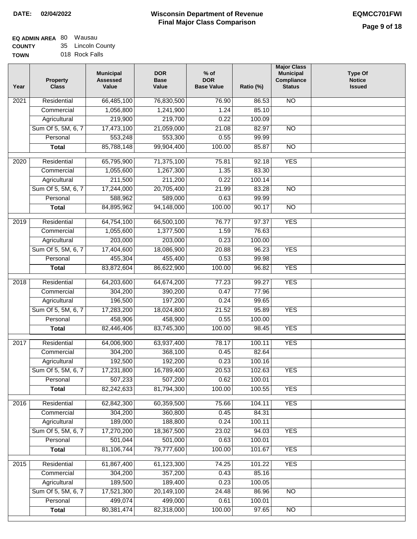#### **EQ ADMIN AREA** 80 Wausau **COUNTY** 35 Lincoln County

**TOWN** 018 Rock Falls

| Year             | <b>Property</b><br><b>Class</b> | <b>Municipal</b><br><b>Assessed</b><br>Value | <b>DOR</b><br><b>Base</b><br>Value | $%$ of<br><b>DOR</b><br><b>Base Value</b> | Ratio (%) | <b>Major Class</b><br><b>Municipal</b><br>Compliance<br><b>Status</b> | <b>Type Of</b><br><b>Notice</b><br><b>Issued</b> |
|------------------|---------------------------------|----------------------------------------------|------------------------------------|-------------------------------------------|-----------|-----------------------------------------------------------------------|--------------------------------------------------|
| 2021             | Residential                     | 66,485,100                                   | 76,830,500                         | 76.90                                     | 86.53     | <b>NO</b>                                                             |                                                  |
|                  | Commercial                      | 1,056,800                                    | 1,241,900                          | 1.24                                      | 85.10     |                                                                       |                                                  |
|                  | Agricultural                    | 219,900                                      | 219,700                            | 0.22                                      | 100.09    |                                                                       |                                                  |
|                  | Sum Of 5, 5M, 6, 7              | 17,473,100                                   | 21,059,000                         | 21.08                                     | 82.97     | $\overline{NO}$                                                       |                                                  |
|                  | Personal                        | 553,248                                      | 553,300                            | 0.55                                      | 99.99     |                                                                       |                                                  |
|                  | <b>Total</b>                    | 85,788,148                                   | 99,904,400                         | 100.00                                    | 85.87     | $\overline{NO}$                                                       |                                                  |
| 2020             | Residential                     | 65,795,900                                   | 71,375,100                         | 75.81                                     | 92.18     | <b>YES</b>                                                            |                                                  |
|                  | Commercial                      | 1,055,600                                    | 1,267,300                          | 1.35                                      | 83.30     |                                                                       |                                                  |
|                  | Agricultural                    | 211,500                                      | 211,200                            | 0.22                                      | 100.14    |                                                                       |                                                  |
|                  | Sum Of 5, 5M, 6, 7              | 17,244,000                                   | 20,705,400                         | 21.99                                     | 83.28     | <b>NO</b>                                                             |                                                  |
|                  | Personal                        | 588,962                                      | 589,000                            | 0.63                                      | 99.99     |                                                                       |                                                  |
|                  | <b>Total</b>                    | 84,895,962                                   | 94,148,000                         | 100.00                                    | 90.17     | <b>NO</b>                                                             |                                                  |
| $\frac{1}{2019}$ | Residential                     | 64,754,100                                   | 66,500,100                         | 76.77                                     | 97.37     | <b>YES</b>                                                            |                                                  |
|                  | Commercial                      | 1,055,600                                    | 1,377,500                          | 1.59                                      | 76.63     |                                                                       |                                                  |
|                  | Agricultural                    | 203,000                                      | 203,000                            | 0.23                                      | 100.00    |                                                                       |                                                  |
|                  | Sum Of 5, 5M, 6, 7              | 17,404,600                                   | 18,086,900                         | 20.88                                     | 96.23     | <b>YES</b>                                                            |                                                  |
|                  | Personal                        | 455,304                                      | 455,400                            | 0.53                                      | 99.98     |                                                                       |                                                  |
|                  | <b>Total</b>                    | 83,872,604                                   | 86,622,900                         | 100.00                                    | 96.82     | <b>YES</b>                                                            |                                                  |
| 2018             | Residential                     | 64,203,600                                   | 64,674,200                         | 77.23                                     | 99.27     | <b>YES</b>                                                            |                                                  |
|                  | Commercial                      | 304,200                                      | 390,200                            | 0.47                                      | 77.96     |                                                                       |                                                  |
|                  | Agricultural                    | 196,500                                      | 197,200                            | 0.24                                      | 99.65     |                                                                       |                                                  |
|                  | Sum Of 5, 5M, 6, 7              | 17,283,200                                   | 18,024,800                         | 21.52                                     | 95.89     | <b>YES</b>                                                            |                                                  |
|                  | Personal                        | 458,906                                      | 458,900                            | 0.55                                      | 100.00    |                                                                       |                                                  |
|                  | <b>Total</b>                    | 82,446,406                                   | 83,745,300                         | 100.00                                    | 98.45     | <b>YES</b>                                                            |                                                  |
| 2017             | Residential                     | 64,006,900                                   | 63,937,400                         | 78.17                                     | 100.11    | <b>YES</b>                                                            |                                                  |
|                  | Commercial                      | 304,200                                      | 368,100                            | 0.45                                      | 82.64     |                                                                       |                                                  |
|                  | Agricultural                    | 192,500                                      | 192,200                            | 0.23                                      | 100.16    |                                                                       |                                                  |
|                  | Sum Of 5, 5M, 6, 7              | 17,231,800                                   | 16,789,400                         | 20.53                                     | 102.63    | <b>YES</b>                                                            |                                                  |
|                  | Personal                        | 507,233                                      | 507,200                            | 0.62                                      | 100.01    |                                                                       |                                                  |
|                  | <b>Total</b>                    | 82,242,633                                   | 81,794,300                         | 100.00                                    | 100.55    | <b>YES</b>                                                            |                                                  |
| 2016             | Residential                     | 62,842,300                                   | 60,359,500                         | 75.66                                     | 104.11    | <b>YES</b>                                                            |                                                  |
|                  | Commercial                      | 304,200                                      | 360,800                            | 0.45                                      | 84.31     |                                                                       |                                                  |
|                  | Agricultural                    | 189,000                                      | 188,800                            | 0.24                                      | 100.11    |                                                                       |                                                  |
|                  | Sum Of 5, 5M, 6, 7              | 17,270,200                                   | 18,367,500                         | 23.02                                     | 94.03     | <b>YES</b>                                                            |                                                  |
|                  | Personal                        | 501,044                                      | 501,000                            | 0.63                                      | 100.01    |                                                                       |                                                  |
|                  | <b>Total</b>                    | 81,106,744                                   | 79,777,600                         | 100.00                                    | 101.67    | <b>YES</b>                                                            |                                                  |
| 2015             | Residential                     | 61,867,400                                   | 61,123,300                         | 74.25                                     | 101.22    | <b>YES</b>                                                            |                                                  |
|                  | Commercial                      | 304,200                                      | 357,200                            | 0.43                                      | 85.16     |                                                                       |                                                  |
|                  | Agricultural                    | 189,500                                      | 189,400                            | 0.23                                      | 100.05    |                                                                       |                                                  |
|                  | Sum Of 5, 5M, 6, 7              | 17,521,300                                   | 20,149,100                         | 24.48                                     | 86.96     | N <sub>O</sub>                                                        |                                                  |
|                  | Personal                        | 499,074                                      | 499,000                            | 0.61                                      | 100.01    |                                                                       |                                                  |
|                  | <b>Total</b>                    | 80,381,474                                   | 82,318,000                         | 100.00                                    | 97.65     | $\overline{NO}$                                                       |                                                  |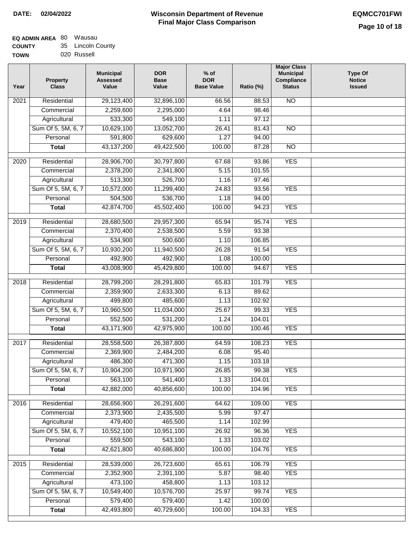# **Wisconsin Department of Revenue Final Major Class Comparison DATE: 02/04/2022 EQMCC701FWI**

٦

#### **EQ ADMIN AREA** 80 Wausau **COUNTY** 35 Lincoln County

| uuun 1      | ື | שטש וווטטווב |
|-------------|---|--------------|
| <b>TOWN</b> |   | 020 Russell  |

| Year              | <b>Property</b><br><b>Class</b> | <b>Municipal</b><br><b>Assessed</b><br>Value | <b>DOR</b><br><b>Base</b><br>Value | $%$ of<br><b>DOR</b><br><b>Base Value</b> | Ratio (%) | <b>Major Class</b><br><b>Municipal</b><br>Compliance<br><b>Status</b> | Type Of<br><b>Notice</b><br><b>Issued</b> |
|-------------------|---------------------------------|----------------------------------------------|------------------------------------|-------------------------------------------|-----------|-----------------------------------------------------------------------|-------------------------------------------|
| 2021              | Residential                     | 29,123,400                                   | 32,896,100                         | 66.56                                     | 88.53     | N <sub>O</sub>                                                        |                                           |
|                   | Commercial                      | 2,259,600                                    | 2,295,000                          | 4.64                                      | 98.46     |                                                                       |                                           |
|                   | Agricultural                    | 533,300                                      | 549,100                            | 1.11                                      | 97.12     |                                                                       |                                           |
|                   | Sum Of 5, 5M, 6, 7              | 10,629,100                                   | 13,052,700                         | 26.41                                     | 81.43     | $\overline{NO}$                                                       |                                           |
|                   | Personal                        | 591,800                                      | 629,600                            | 1.27                                      | 94.00     |                                                                       |                                           |
|                   | <b>Total</b>                    | 43,137,200                                   | 49,422,500                         | 100.00                                    | 87.28     | $\overline{NO}$                                                       |                                           |
| 2020              | Residential                     | 28,906,700                                   | 30,797,800                         | 67.68                                     | 93.86     | <b>YES</b>                                                            |                                           |
|                   | Commercial                      | 2,378,200                                    | 2,341,800                          | 5.15                                      | 101.55    |                                                                       |                                           |
|                   | Agricultural                    | 513,300                                      | 526,700                            | 1.16                                      | 97.46     |                                                                       |                                           |
|                   | Sum Of 5, 5M, 6, 7              | 10,572,000                                   | 11,299,400                         | 24.83                                     | 93.56     | <b>YES</b>                                                            |                                           |
|                   | Personal                        | 504,500                                      | 536,700                            | 1.18                                      | 94.00     |                                                                       |                                           |
|                   | <b>Total</b>                    | 42,874,700                                   | 45,502,400                         | 100.00                                    | 94.23     | <b>YES</b>                                                            |                                           |
|                   |                                 |                                              |                                    |                                           |           |                                                                       |                                           |
| 2019              | Residential                     | 28,680,500                                   | 29,957,300                         | 65.94                                     | 95.74     | <b>YES</b>                                                            |                                           |
|                   | Commercial                      | 2,370,400                                    | 2,538,500                          | 5.59                                      | 93.38     |                                                                       |                                           |
|                   | Agricultural                    | 534,900                                      | 500,600                            | 1.10                                      | 106.85    |                                                                       |                                           |
|                   | Sum Of 5, 5M, 6, 7              | 10,930,200                                   | 11,940,500                         | 26.28                                     | 91.54     | <b>YES</b>                                                            |                                           |
|                   | Personal                        | 492,900                                      | 492,900                            | 1.08                                      | 100.00    |                                                                       |                                           |
|                   | <b>Total</b>                    | 43,008,900                                   | 45,429,800                         | 100.00                                    | 94.67     | <b>YES</b>                                                            |                                           |
| $\overline{2018}$ | Residential                     | 28,799,200                                   | 28,291,800                         | 65.83                                     | 101.79    | <b>YES</b>                                                            |                                           |
|                   | Commercial                      | 2,359,900                                    | 2,633,300                          | 6.13                                      | 89.62     |                                                                       |                                           |
|                   | Agricultural                    | 499,800                                      | 485,600                            | 1.13                                      | 102.92    |                                                                       |                                           |
|                   | Sum Of 5, 5M, 6, 7              | 10,960,500                                   | 11,034,000                         | 25.67                                     | 99.33     | <b>YES</b>                                                            |                                           |
|                   | Personal                        | 552,500                                      | 531,200                            | 1.24                                      | 104.01    |                                                                       |                                           |
|                   | <b>Total</b>                    | 43,171,900                                   | 42,975,900                         | 100.00                                    | 100.46    | <b>YES</b>                                                            |                                           |
| 2017              | Residential                     | 28,558,500                                   | 26,387,800                         | 64.59                                     | 108.23    | <b>YES</b>                                                            |                                           |
|                   | Commercial                      | 2,369,900                                    | 2,484,200                          | 6.08                                      | 95.40     |                                                                       |                                           |
|                   | Agricultural                    | 486,300                                      | 471,300                            | 1.15                                      | 103.18    |                                                                       |                                           |
|                   | Sum Of 5, 5M, 6, 7              | 10,904,200                                   | 10,971,900                         | 26.85                                     | 99.38     | <b>YES</b>                                                            |                                           |
|                   | Personal                        | 563,100                                      | 541,400                            | 1.33                                      | 104.01    |                                                                       |                                           |
|                   | <b>Total</b>                    | 42,882,000                                   | 40,856,600                         | 100.00                                    | 104.96    | <b>YES</b>                                                            |                                           |
|                   |                                 |                                              |                                    |                                           |           |                                                                       |                                           |
| 2016              | Residential                     | 28,656,900                                   | 26,291,600                         | 64.62                                     | 109.00    | <b>YES</b>                                                            |                                           |
|                   | Commercial                      | 2,373,900                                    | 2,435,500                          | 5.99                                      | 97.47     |                                                                       |                                           |
|                   | Agricultural                    | 479,400                                      | 465,500                            | 1.14                                      | 102.99    |                                                                       |                                           |
|                   | Sum Of 5, 5M, 6, 7              | 10,552,100                                   | 10,951,100                         | 26.92                                     | 96.36     | <b>YES</b>                                                            |                                           |
|                   | Personal                        | 559,500                                      | 543,100                            | 1.33                                      | 103.02    |                                                                       |                                           |
|                   | <b>Total</b>                    | 42,621,800                                   | 40,686,800                         | 100.00                                    | 104.76    | <b>YES</b>                                                            |                                           |
| 2015              | Residential                     | 28,539,000                                   | 26,723,600                         | 65.61                                     | 106.79    | <b>YES</b>                                                            |                                           |
|                   | Commercial                      | 2,352,900                                    | 2,391,100                          | 5.87                                      | 98.40     | <b>YES</b>                                                            |                                           |
|                   | Agricultural                    | 473,100                                      | 458,800                            | 1.13                                      | 103.12    |                                                                       |                                           |
|                   | Sum Of 5, 5M, 6, 7              | 10,549,400                                   | 10,576,700                         | 25.97                                     | 99.74     | <b>YES</b>                                                            |                                           |
|                   | Personal                        | 579,400                                      | 579,400                            | 1.42                                      | 100.00    |                                                                       |                                           |
|                   | <b>Total</b>                    | 42,493,800                                   | 40,729,600                         | 100.00                                    | 104.33    | <b>YES</b>                                                            |                                           |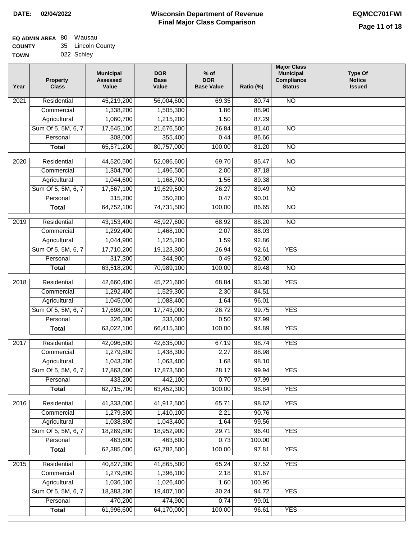| /Ν | 022 Schley |  |
|----|------------|--|
|    |            |  |

| Year              | <b>Property</b><br><b>Class</b> | <b>Municipal</b><br><b>Assessed</b><br>Value | <b>DOR</b><br><b>Base</b><br>Value | $%$ of<br><b>DOR</b><br><b>Base Value</b> | Ratio (%) | <b>Major Class</b><br><b>Municipal</b><br>Compliance<br><b>Status</b> | <b>Type Of</b><br><b>Notice</b><br><b>Issued</b> |
|-------------------|---------------------------------|----------------------------------------------|------------------------------------|-------------------------------------------|-----------|-----------------------------------------------------------------------|--------------------------------------------------|
| $\overline{202}1$ | Residential                     | 45,219,200                                   | 56,004,600                         | 69.35                                     | 80.74     | <b>NO</b>                                                             |                                                  |
|                   | Commercial                      | 1,338,200                                    | 1,505,300                          | 1.86                                      | 88.90     |                                                                       |                                                  |
|                   | Agricultural                    | 1,060,700                                    | 1,215,200                          | 1.50                                      | 87.29     |                                                                       |                                                  |
|                   | Sum Of 5, 5M, 6, 7              | 17,645,100                                   | 21,676,500                         | 26.84                                     | 81.40     | $\overline{NO}$                                                       |                                                  |
|                   | Personal                        | 308,000                                      | 355,400                            | 0.44                                      | 86.66     |                                                                       |                                                  |
|                   | <b>Total</b>                    | 65,571,200                                   | 80,757,000                         | 100.00                                    | 81.20     | $\overline{NO}$                                                       |                                                  |
| $\overline{2020}$ | Residential                     | 44,520,500                                   | 52,086,600                         | 69.70                                     | 85.47     | $\overline{10}$                                                       |                                                  |
|                   | Commercial                      | 1,304,700                                    | 1,496,500                          | 2.00                                      | 87.18     |                                                                       |                                                  |
|                   | Agricultural                    | 1,044,600                                    | 1,168,700                          | 1.56                                      | 89.38     |                                                                       |                                                  |
|                   | Sum Of 5, 5M, 6, 7              | 17,567,100                                   | 19,629,500                         | 26.27                                     | 89.49     | $\overline{NO}$                                                       |                                                  |
|                   | Personal                        | 315,200                                      | 350,200                            | 0.47                                      | 90.01     |                                                                       |                                                  |
|                   | <b>Total</b>                    | 64,752,100                                   | 74,731,500                         | 100.00                                    | 86.65     | $\overline{NO}$                                                       |                                                  |
|                   |                                 |                                              |                                    |                                           |           |                                                                       |                                                  |
| 2019              | Residential                     | 43,153,400                                   | 48,927,600                         | 68.92                                     | 88.20     | $\overline{NO}$                                                       |                                                  |
|                   | Commercial                      | 1,292,400                                    | 1,468,100                          | 2.07                                      | 88.03     |                                                                       |                                                  |
|                   | Agricultural                    | 1,044,900                                    | 1,125,200                          | 1.59                                      | 92.86     |                                                                       |                                                  |
|                   | Sum Of 5, 5M, 6, 7              | 17,710,200                                   | 19,123,300                         | 26.94                                     | 92.61     | <b>YES</b>                                                            |                                                  |
|                   | Personal                        | 317,300                                      | 344,900                            | 0.49                                      | 92.00     |                                                                       |                                                  |
|                   | <b>Total</b>                    | 63,518,200                                   | 70,989,100                         | 100.00                                    | 89.48     | $\overline{NO}$                                                       |                                                  |
| 2018              | Residential                     | 42,660,400                                   | 45,721,600                         | 68.84                                     | 93.30     | <b>YES</b>                                                            |                                                  |
|                   | Commercial                      | 1,292,400                                    | 1,529,300                          | 2.30                                      | 84.51     |                                                                       |                                                  |
|                   | Agricultural                    | 1,045,000                                    | 1,088,400                          | 1.64                                      | 96.01     |                                                                       |                                                  |
|                   | Sum Of 5, 5M, 6, 7              | 17,698,000                                   | 17,743,000                         | 26.72                                     | 99.75     | <b>YES</b>                                                            |                                                  |
|                   | Personal                        | 326,300                                      | 333,000                            | 0.50                                      | 97.99     |                                                                       |                                                  |
|                   | <b>Total</b>                    | 63,022,100                                   | 66,415,300                         | 100.00                                    | 94.89     | <b>YES</b>                                                            |                                                  |
| 2017              | Residential                     | 42,096,500                                   | 42,635,000                         | 67.19                                     | 98.74     | <b>YES</b>                                                            |                                                  |
|                   | Commercial                      | 1,279,800                                    | 1,438,300                          | 2.27                                      | 88.98     |                                                                       |                                                  |
|                   | Agricultural                    | 1,043,200                                    | 1,063,400                          | 1.68                                      | 98.10     |                                                                       |                                                  |
|                   | Sum Of 5, 5M, 6, 7              | 17,863,000                                   | 17,873,500                         | 28.17                                     | 99.94     | <b>YES</b>                                                            |                                                  |
|                   | Personal                        | 433,200                                      | 442,100                            | 0.70                                      | 97.99     |                                                                       |                                                  |
|                   | <b>Total</b>                    | 62,715,700                                   | 63,452,300                         | 100.00                                    | 98.84     | <b>YES</b>                                                            |                                                  |
| 2016              | Residential                     |                                              |                                    |                                           | 98.62     | <b>YES</b>                                                            |                                                  |
|                   | Commercial                      | 41,333,000<br>1,279,800                      | 41,912,500<br>1,410,100            | 65.71<br>2.21                             | 90.76     |                                                                       |                                                  |
|                   | Agricultural                    | 1,038,800                                    | 1,043,400                          | 1.64                                      | 99.56     |                                                                       |                                                  |
|                   | Sum Of 5, 5M, 6, 7              | 18,269,800                                   | 18,952,900                         | 29.71                                     | 96.40     | <b>YES</b>                                                            |                                                  |
|                   | Personal                        | 463,600                                      | 463,600                            | 0.73                                      | 100.00    |                                                                       |                                                  |
|                   | <b>Total</b>                    | 62,385,000                                   | 63,782,500                         | 100.00                                    | 97.81     | <b>YES</b>                                                            |                                                  |
|                   |                                 |                                              |                                    |                                           |           |                                                                       |                                                  |
| 2015              | Residential                     | 40,827,300                                   | 41,865,500                         | 65.24                                     | 97.52     | <b>YES</b>                                                            |                                                  |
|                   | Commercial                      | 1,279,800                                    | 1,396,100                          | 2.18                                      | 91.67     |                                                                       |                                                  |
|                   | Agricultural                    | 1,036,100                                    | 1,026,400                          | 1.60                                      | 100.95    |                                                                       |                                                  |
|                   | Sum Of 5, 5M, 6, 7              | 18,383,200                                   | 19,407,100                         | 30.24                                     | 94.72     | <b>YES</b>                                                            |                                                  |
|                   | Personal                        | 470,200                                      | 474,900                            | 0.74                                      | 99.01     |                                                                       |                                                  |
|                   | <b>Total</b>                    | 61,996,600                                   | 64,170,000                         | 100.00                                    | 96.61     | <b>YES</b>                                                            |                                                  |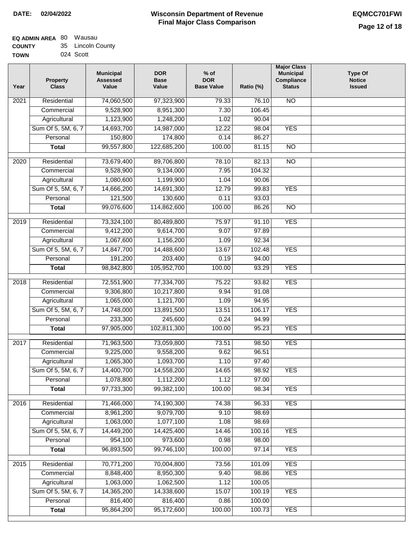| <b>EQ ADMIN AREA 80 Wausau</b> |                   |
|--------------------------------|-------------------|
| <b>COUNTY</b>                  | 35 Lincoln County |
| <b>TOWN</b>                    | 024 Scott         |

| Year              | <b>Property</b><br><b>Class</b> | <b>Municipal</b><br><b>Assessed</b><br>Value | <b>DOR</b><br><b>Base</b><br>Value | $%$ of<br><b>DOR</b><br><b>Base Value</b> | Ratio (%)       | <b>Major Class</b><br><b>Municipal</b><br>Compliance<br><b>Status</b> | <b>Type Of</b><br><b>Notice</b><br><b>Issued</b> |
|-------------------|---------------------------------|----------------------------------------------|------------------------------------|-------------------------------------------|-----------------|-----------------------------------------------------------------------|--------------------------------------------------|
| 2021              | Residential                     | 74,060,500                                   | 97,323,900                         | 79.33                                     | 76.10           | <b>NO</b>                                                             |                                                  |
|                   | Commercial                      | 9,528,900                                    | 8,951,300                          | 7.30                                      | 106.45          |                                                                       |                                                  |
|                   | Agricultural                    | 1,123,900                                    | 1,248,200                          | 1.02                                      | 90.04           |                                                                       |                                                  |
|                   | Sum Of 5, 5M, 6, 7              | 14,693,700                                   | 14,987,000                         | 12.22                                     | 98.04           | <b>YES</b>                                                            |                                                  |
|                   | Personal                        | 150,800                                      | 174,800                            | 0.14                                      | 86.27           |                                                                       |                                                  |
|                   | <b>Total</b>                    | 99,557,800                                   | 122,685,200                        | 100.00                                    | 81.15           | $\overline{NO}$                                                       |                                                  |
| $\overline{2020}$ | Residential                     | 73,679,400                                   | 89,706,800                         | 78.10                                     | 82.13           | $\overline{NO}$                                                       |                                                  |
|                   | Commercial                      | 9,528,900                                    | 9,134,000                          | 7.95                                      | 104.32          |                                                                       |                                                  |
|                   | Agricultural                    | 1,080,600                                    | 1,199,900                          | 1.04                                      | 90.06           |                                                                       |                                                  |
|                   | Sum Of 5, 5M, 6, 7              | 14,666,200                                   | 14,691,300                         | 12.79                                     | 99.83           | <b>YES</b>                                                            |                                                  |
|                   | Personal                        | 121,500                                      | 130,600                            | 0.11                                      | 93.03           |                                                                       |                                                  |
|                   | <b>Total</b>                    | 99,076,600                                   | 114,862,600                        | 100.00                                    | 86.26           | $\overline{NO}$                                                       |                                                  |
|                   |                                 |                                              |                                    |                                           |                 |                                                                       |                                                  |
| 2019              | Residential                     | 73,324,100                                   | 80,489,800                         | 75.97                                     | 91.10           | <b>YES</b>                                                            |                                                  |
|                   | Commercial                      | 9,412,200                                    | 9,614,700                          | 9.07                                      | 97.89           |                                                                       |                                                  |
|                   | Agricultural                    | 1,067,600                                    | 1,156,200                          | 1.09                                      | 92.34           | <b>YES</b>                                                            |                                                  |
|                   | Sum Of 5, 5M, 6, 7<br>Personal  | 14,847,700<br>191,200                        | 14,488,600<br>203,400              | 13.67<br>0.19                             | 102.48<br>94.00 |                                                                       |                                                  |
|                   | <b>Total</b>                    | 98,842,800                                   | 105,952,700                        | 100.00                                    | 93.29           | <b>YES</b>                                                            |                                                  |
|                   |                                 |                                              |                                    |                                           |                 |                                                                       |                                                  |
| 2018              | Residential                     | 72,551,900                                   | 77,334,700                         | 75.22                                     | 93.82           | <b>YES</b>                                                            |                                                  |
|                   | Commercial                      | 9,306,800                                    | 10,217,800                         | 9.94                                      | 91.08           |                                                                       |                                                  |
|                   | Agricultural                    | 1,065,000                                    | 1,121,700                          | 1.09                                      | 94.95           |                                                                       |                                                  |
|                   | Sum Of 5, 5M, 6, 7              | 14,748,000                                   | 13,891,500                         | 13.51                                     | 106.17          | <b>YES</b>                                                            |                                                  |
|                   | Personal                        | 233,300                                      | 245,600                            | 0.24                                      | 94.99           |                                                                       |                                                  |
|                   | <b>Total</b>                    | 97,905,000                                   | 102,811,300                        | 100.00                                    | 95.23           | <b>YES</b>                                                            |                                                  |
| 2017              | Residential                     | 71,963,500                                   | 73,059,800                         | 73.51                                     | 98.50           | <b>YES</b>                                                            |                                                  |
|                   | Commercial                      | 9,225,000                                    | 9,558,200                          | 9.62                                      | 96.51           |                                                                       |                                                  |
|                   | Agricultural                    | 1,065,300                                    | 1,093,700                          | 1.10                                      | 97.40           |                                                                       |                                                  |
|                   | Sum Of 5, 5M, 6, 7              | 14,400,700                                   | 14,558,200                         | 14.65                                     | 98.92           | <b>YES</b>                                                            |                                                  |
|                   | Personal                        | 1,078,800                                    | 1,112,200                          | 1.12                                      | 97.00           |                                                                       |                                                  |
|                   | <b>Total</b>                    | 97,733,300                                   | 99,382,100                         | 100.00                                    | 98.34           | <b>YES</b>                                                            |                                                  |
| 2016              | Residential                     | 71,466,000                                   | 74,190,300                         | 74.38                                     | 96.33           | <b>YES</b>                                                            |                                                  |
|                   | Commercial                      | 8,961,200                                    | 9,079,700                          | 9.10                                      | 98.69           |                                                                       |                                                  |
|                   | Agricultural                    | 1,063,000                                    | 1,077,100                          | 1.08                                      | 98.69           |                                                                       |                                                  |
|                   | Sum Of 5, 5M, 6, 7              | 14,449,200                                   | 14,425,400                         | 14.46                                     | 100.16          | <b>YES</b>                                                            |                                                  |
|                   | Personal                        | 954,100                                      | 973,600                            | 0.98                                      | 98.00           |                                                                       |                                                  |
|                   | <b>Total</b>                    | 96,893,500                                   | 99,746,100                         | 100.00                                    | 97.14           | <b>YES</b>                                                            |                                                  |
| 2015              | Residential                     | 70,771,200                                   | 70,004,800                         | 73.56                                     | 101.09          | <b>YES</b>                                                            |                                                  |
|                   | Commercial                      | 8,848,400                                    | 8,950,300                          | 9.40                                      | 98.86           | <b>YES</b>                                                            |                                                  |
|                   | Agricultural                    | 1,063,000                                    | 1,062,500                          | 1.12                                      | 100.05          |                                                                       |                                                  |
|                   | Sum Of 5, 5M, 6, 7              | 14,365,200                                   | 14,338,600                         | 15.07                                     | 100.19          | <b>YES</b>                                                            |                                                  |
|                   | Personal                        | 816,400                                      | 816,400                            | 0.86                                      | 100.00          |                                                                       |                                                  |
|                   | <b>Total</b>                    | 95,864,200                                   | 95,172,600                         | 100.00                                    | 100.73          | <b>YES</b>                                                            |                                                  |
|                   |                                 |                                              |                                    |                                           |                 |                                                                       |                                                  |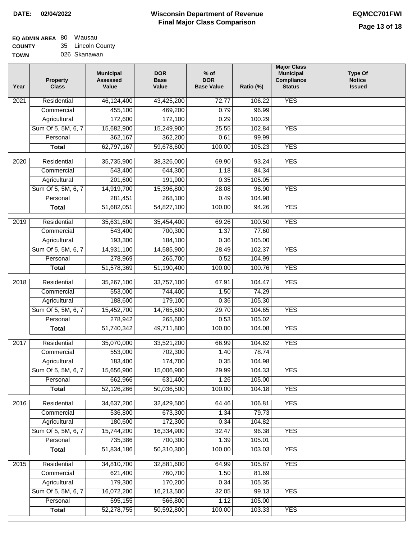#### **EQ ADMIN AREA** 80 Wausau **COUNTY** 35 Lincoln County

**TOWN** 026 Skanawan

| <b>YES</b><br>Residential<br>46,124,400<br>43,425,200<br>72.77<br>106.22<br>2021<br>455,100<br>0.79<br>96.99<br>469,200<br>Commercial<br>172,600<br>172,100<br>0.29<br>100.29<br>Agricultural |  |
|-----------------------------------------------------------------------------------------------------------------------------------------------------------------------------------------------|--|
|                                                                                                                                                                                               |  |
|                                                                                                                                                                                               |  |
|                                                                                                                                                                                               |  |
| Sum Of 5, 5M, 6, 7<br>15,682,900<br>25.55<br>102.84<br><b>YES</b><br>15,249,900                                                                                                               |  |
| 362,167<br>Personal<br>362,200<br>0.61<br>99.99                                                                                                                                               |  |
| 62,797,167<br>59,678,600<br><b>YES</b><br>100.00<br>105.23<br><b>Total</b>                                                                                                                    |  |
| <b>YES</b><br>$\frac{1}{2020}$<br>Residential<br>35,735,900<br>69.90<br>93.24<br>38,326,000                                                                                                   |  |
| 543,400<br>Commercial<br>644,300<br>1.18<br>84.34                                                                                                                                             |  |
| 201,600<br>191,900<br>0.35<br>105.05<br>Agricultural                                                                                                                                          |  |
| Sum Of 5, 5M, 6, 7<br>14,919,700<br>15,396,800<br>96.90<br><b>YES</b><br>28.08                                                                                                                |  |
| 281,451<br>268,100<br>0.49<br>104.98<br>Personal                                                                                                                                              |  |
| <b>YES</b><br><b>Total</b><br>51,682,051<br>54,827,100<br>100.00<br>94.26                                                                                                                     |  |
|                                                                                                                                                                                               |  |
| <b>YES</b><br>2019<br>Residential<br>35,631,600<br>35,454,400<br>100.50<br>69.26                                                                                                              |  |
| 1.37<br>Commercial<br>543,400<br>700,300<br>77.60                                                                                                                                             |  |
| 193,300<br>184,100<br>105.00<br>Agricultural<br>0.36                                                                                                                                          |  |
| Sum Of 5, 5M, 6, 7<br>14,931,100<br><b>YES</b><br>14,585,900<br>28.49<br>102.37                                                                                                               |  |
| 0.52<br>Personal<br>278,969<br>265,700<br>104.99                                                                                                                                              |  |
| <b>YES</b><br>51,578,369<br>51,190,400<br>100.00<br>100.76<br><b>Total</b>                                                                                                                    |  |
| <b>YES</b><br>2018<br>Residential<br>35,267,100<br>33,757,100<br>67.91<br>104.47                                                                                                              |  |
| Commercial<br>553,000<br>744,400<br>1.50<br>74.29                                                                                                                                             |  |
| 188,600<br>179,100<br>0.36<br>105.30<br>Agricultural                                                                                                                                          |  |
| Sum Of 5, 5M, 6, 7<br>15,452,700<br>14,765,600<br>29.70<br><b>YES</b><br>104.65                                                                                                               |  |
| 278,942<br>265,600<br>0.53<br>105.02<br>Personal                                                                                                                                              |  |
| <b>YES</b><br>51,740,342<br>49,711,800<br>100.00<br>104.08<br><b>Total</b>                                                                                                                    |  |
| <b>YES</b><br>Residential<br>35,070,000<br>33,521,200<br>2017<br>66.99<br>104.62                                                                                                              |  |
| 553,000<br>702,300<br>1.40<br>78.74<br>Commercial                                                                                                                                             |  |
| 174,700<br>183,400<br>0.35<br>104.98<br>Agricultural                                                                                                                                          |  |
| Sum Of 5, 5M, 6, 7<br>15,656,900<br>15,006,900<br>29.99<br>104.33<br><b>YES</b>                                                                                                               |  |
| Personal<br>662,966<br>631,400<br>1.26<br>105.00                                                                                                                                              |  |
| 52,126,266<br>50,036,500<br>100.00<br>104.18<br><b>YES</b><br><b>Total</b>                                                                                                                    |  |
|                                                                                                                                                                                               |  |
| 2016<br>Residential<br>34,637,200<br>106.81<br><b>YES</b><br>32,429,500<br>64.46                                                                                                              |  |
| 536,800<br>Commercial<br>673,300<br>1.34<br>79.73                                                                                                                                             |  |
| 180,600<br>172,300<br>104.82<br>Agricultural<br>0.34                                                                                                                                          |  |
| 15,744,200<br>Sum Of 5, 5M, 6, 7<br>16,334,900<br>32.47<br>96.38<br><b>YES</b>                                                                                                                |  |
| 735,386<br>700,300<br>Personal<br>1.39<br>105.01                                                                                                                                              |  |
| 51,834,186<br>50,310,300<br>100.00<br>103.03<br><b>YES</b><br><b>Total</b>                                                                                                                    |  |
| 2015<br>34,810,700<br>32,881,600<br>105.87<br><b>YES</b><br>Residential<br>64.99                                                                                                              |  |
| 621,400<br>760,700<br>1.50<br>81.69<br>Commercial                                                                                                                                             |  |
| 179,300<br>Agricultural<br>170,200<br>105.35<br>0.34                                                                                                                                          |  |
| Sum Of 5, 5M, 6, 7<br>16,072,200<br>16,213,500<br>99.13<br><b>YES</b><br>32.05                                                                                                                |  |
| 595,155<br>Personal<br>566,800<br>1.12<br>105.00                                                                                                                                              |  |
| 52,278,755<br>100.00<br><b>YES</b><br>50,592,800<br>103.33<br><b>Total</b>                                                                                                                    |  |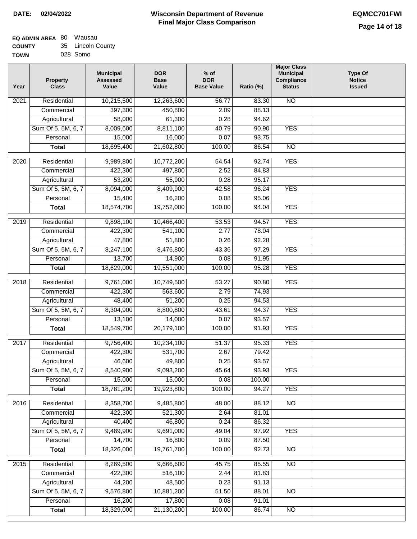| <b>EQ ADMIN AREA 80 Wausau</b> |                   |
|--------------------------------|-------------------|
| <b>COUNTY</b>                  | 35 Lincoln County |
| <b>TOWN</b>                    | 028 Somo          |

| NΝ | 028 Somo |  |
|----|----------|--|
|    |          |  |

| Year | <b>Property</b><br><b>Class</b> | <b>Municipal</b><br><b>Assessed</b><br>Value | <b>DOR</b><br><b>Base</b><br>Value | $%$ of<br><b>DOR</b><br><b>Base Value</b> | Ratio (%)      | <b>Major Class</b><br><b>Municipal</b><br>Compliance<br><b>Status</b> | <b>Type Of</b><br><b>Notice</b><br><b>Issued</b> |
|------|---------------------------------|----------------------------------------------|------------------------------------|-------------------------------------------|----------------|-----------------------------------------------------------------------|--------------------------------------------------|
| 2021 | Residential                     | 10,215,500                                   | 12,263,600                         | 56.77                                     | 83.30          | <b>NO</b>                                                             |                                                  |
|      | Commercial                      | 397,300                                      | 450,800                            | 2.09                                      | 88.13          |                                                                       |                                                  |
|      | Agricultural                    | 58,000                                       | 61,300                             | 0.28                                      | 94.62          |                                                                       |                                                  |
|      | Sum Of 5, 5M, 6, 7              | 8,009,600                                    | 8,811,100                          | 40.79                                     | 90.90          | <b>YES</b>                                                            |                                                  |
|      | Personal                        | 15,000                                       | 16,000                             | 0.07                                      | 93.75          |                                                                       |                                                  |
|      | <b>Total</b>                    | 18,695,400                                   | 21,602,800                         | 100.00                                    | 86.54          | $\overline{NO}$                                                       |                                                  |
| 2020 | Residential                     | 9,989,800                                    | 10,772,200                         | 54.54                                     | 92.74          | <b>YES</b>                                                            |                                                  |
|      | Commercial                      | 422,300                                      | 497,800                            | 2.52                                      | 84.83          |                                                                       |                                                  |
|      | Agricultural                    | 53,200                                       | 55,900                             | 0.28                                      | 95.17          |                                                                       |                                                  |
|      | Sum Of 5, 5M, 6, 7              | 8,094,000                                    | 8,409,900                          | 42.58                                     | 96.24          | <b>YES</b>                                                            |                                                  |
|      | Personal                        | 15,400                                       | 16,200                             | 0.08                                      | 95.06          |                                                                       |                                                  |
|      | <b>Total</b>                    | 18,574,700                                   | 19,752,000                         | 100.00                                    | 94.04          | <b>YES</b>                                                            |                                                  |
| 2019 | Residential                     | 9,898,100                                    | 10,466,400                         | 53.53                                     | 94.57          | <b>YES</b>                                                            |                                                  |
|      | Commercial                      | 422,300                                      | 541,100                            | 2.77                                      | 78.04          |                                                                       |                                                  |
|      | Agricultural                    | 47,800                                       | 51,800                             | 0.26                                      | 92.28          |                                                                       |                                                  |
|      | Sum Of 5, 5M, 6, 7              | 8,247,100                                    | 8,476,800                          | 43.36                                     | 97.29          | <b>YES</b>                                                            |                                                  |
|      | Personal                        | 13,700                                       | 14,900                             | 0.08                                      | 91.95          |                                                                       |                                                  |
|      | <b>Total</b>                    | 18,629,000                                   | 19,551,000                         | 100.00                                    | 95.28          | <b>YES</b>                                                            |                                                  |
|      |                                 |                                              |                                    |                                           |                |                                                                       |                                                  |
| 2018 | Residential                     | 9,761,000                                    | 10,749,500                         | 53.27                                     | 90.80          | <b>YES</b>                                                            |                                                  |
|      | Commercial                      | 422,300                                      | 563,600                            | 2.79                                      | 74.93          |                                                                       |                                                  |
|      | Agricultural                    | 48,400                                       | 51,200                             | 0.25                                      | 94.53          |                                                                       |                                                  |
|      | Sum Of 5, 5M, 6, 7<br>Personal  | 8,304,900<br>13,100                          | 8,800,800<br>14,000                | 43.61<br>0.07                             | 94.37<br>93.57 | <b>YES</b>                                                            |                                                  |
|      | <b>Total</b>                    | 18,549,700                                   | 20,179,100                         | 100.00                                    | 91.93          | <b>YES</b>                                                            |                                                  |
|      |                                 |                                              |                                    |                                           |                |                                                                       |                                                  |
| 2017 | Residential                     | 9,756,400                                    | 10,234,100                         | 51.37                                     | 95.33          | <b>YES</b>                                                            |                                                  |
|      | Commercial                      | 422,300                                      | 531,700                            | 2.67                                      | 79.42          |                                                                       |                                                  |
|      | Agricultural                    | 46,600                                       | 49,800                             | 0.25                                      | 93.57          |                                                                       |                                                  |
|      | Sum Of 5, 5M, 6, 7              | 8,540,900                                    | 9,093,200                          | 45.64                                     | 93.93          | <b>YES</b>                                                            |                                                  |
|      | Personal                        | 15,000                                       | 15,000                             | 0.08                                      | 100.00         |                                                                       |                                                  |
|      | <b>Total</b>                    | 18,781,200                                   | 19,923,800                         | 100.00                                    | 94.27          | <b>YES</b>                                                            |                                                  |
| 2016 | Residential                     | 8,358,700                                    | 9,485,800                          | 48.00                                     | 88.12          | $\overline{NO}$                                                       |                                                  |
|      | Commercial                      | 422,300                                      | 521,300                            | 2.64                                      | 81.01          |                                                                       |                                                  |
|      | Agricultural                    | 40,400                                       | 46,800                             | 0.24                                      | 86.32          |                                                                       |                                                  |
|      | Sum Of 5, 5M, 6, 7              | 9,489,900                                    | 9,691,000                          | 49.04                                     | 97.92          | <b>YES</b>                                                            |                                                  |
|      | Personal                        | 14,700                                       | 16,800                             | 0.09                                      | 87.50          |                                                                       |                                                  |
|      | <b>Total</b>                    | 18,326,000                                   | 19,761,700                         | 100.00                                    | 92.73          | N <sub>O</sub>                                                        |                                                  |
| 2015 | Residential                     | 8,269,500                                    | 9,666,600                          | 45.75                                     | 85.55          | $\overline{NO}$                                                       |                                                  |
|      | Commercial                      | 422,300                                      | 516,100                            | 2.44                                      | 81.83          |                                                                       |                                                  |
|      | Agricultural                    | 44,200                                       | 48,500                             | 0.23                                      | 91.13          |                                                                       |                                                  |
|      | Sum Of 5, 5M, 6, 7              | 9,576,800                                    | 10,881,200                         | 51.50                                     | 88.01          | <b>NO</b>                                                             |                                                  |
|      | Personal                        | 16,200                                       | 17,800                             | 0.08                                      | 91.01          |                                                                       |                                                  |
|      | <b>Total</b>                    | 18,329,000                                   | 21,130,200                         | 100.00                                    | 86.74          | NO                                                                    |                                                  |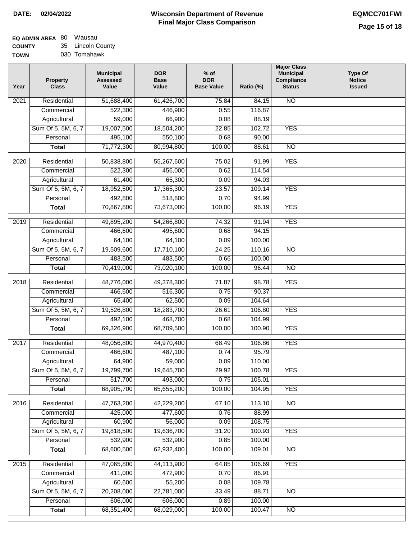# **EQ ADMIN AREA** 80 Wausau

**COUNTY TOWN** 35 Lincoln County

| N | 030 Tomahawk |
|---|--------------|
|   |              |

| Year              | <b>Property</b><br><b>Class</b> | <b>Municipal</b><br><b>Assessed</b><br>Value | <b>DOR</b><br><b>Base</b><br>Value | $%$ of<br><b>DOR</b><br><b>Base Value</b> | Ratio (%) | <b>Major Class</b><br><b>Municipal</b><br>Compliance<br><b>Status</b> | <b>Type Of</b><br><b>Notice</b><br><b>Issued</b> |
|-------------------|---------------------------------|----------------------------------------------|------------------------------------|-------------------------------------------|-----------|-----------------------------------------------------------------------|--------------------------------------------------|
| 2021              | Residential                     | 51,688,400                                   | 61,426,700                         | 75.84                                     | 84.15     | <b>NO</b>                                                             |                                                  |
|                   | Commercial                      | 522,300                                      | 446,900                            | 0.55                                      | 116.87    |                                                                       |                                                  |
|                   | Agricultural                    | 59,000                                       | 66,900                             | 0.08                                      | 88.19     |                                                                       |                                                  |
|                   | Sum Of 5, 5M, 6, 7              | 19,007,500                                   | 18,504,200                         | 22.85                                     | 102.72    | <b>YES</b>                                                            |                                                  |
|                   | Personal                        | 495,100                                      | 550,100                            | 0.68                                      | 90.00     |                                                                       |                                                  |
|                   | <b>Total</b>                    | 71,772,300                                   | 80,994,800                         | 100.00                                    | 88.61     | $\overline{NO}$                                                       |                                                  |
| $\overline{2020}$ | Residential                     | 50,838,800                                   | 55,267,600                         | 75.02                                     | 91.99     | <b>YES</b>                                                            |                                                  |
|                   | Commercial                      | 522,300                                      | 456,000                            | 0.62                                      | 114.54    |                                                                       |                                                  |
|                   | Agricultural                    | 61,400                                       | 65,300                             | 0.09                                      | 94.03     |                                                                       |                                                  |
|                   | Sum Of 5, 5M, 6, 7              | 18,952,500                                   | 17,365,300                         | 23.57                                     | 109.14    | <b>YES</b>                                                            |                                                  |
|                   | Personal                        | 492,800                                      | 518,800                            | 0.70                                      | 94.99     |                                                                       |                                                  |
|                   | <b>Total</b>                    | 70,867,800                                   | 73,673,000                         | 100.00                                    | 96.19     | <b>YES</b>                                                            |                                                  |
| $\frac{2019}{ }$  | Residential                     | 49,895,200                                   | 54,266,800                         | 74.32                                     | 91.94     | <b>YES</b>                                                            |                                                  |
|                   | Commercial                      | 466,600                                      | 495,600                            | 0.68                                      | 94.15     |                                                                       |                                                  |
|                   | Agricultural                    | 64,100                                       | 64,100                             | 0.09                                      | 100.00    |                                                                       |                                                  |
|                   | Sum Of 5, 5M, 6, 7              | 19,509,600                                   | 17,710,100                         | 24.25                                     | 110.16    | $\overline{NO}$                                                       |                                                  |
|                   | Personal                        | 483,500                                      | 483,500                            | 0.66                                      | 100.00    |                                                                       |                                                  |
|                   | <b>Total</b>                    | 70,419,000                                   | 73,020,100                         | 100.00                                    | 96.44     | $\overline{NO}$                                                       |                                                  |
|                   |                                 |                                              |                                    |                                           |           |                                                                       |                                                  |
| 2018              | Residential                     | 48,776,000                                   | 49,378,300                         | 71.87                                     | 98.78     | <b>YES</b>                                                            |                                                  |
|                   | Commercial                      | 466,600                                      | 516,300                            | 0.75                                      | 90.37     |                                                                       |                                                  |
|                   | Agricultural                    | 65,400                                       | 62,500                             | 0.09                                      | 104.64    |                                                                       |                                                  |
|                   | Sum Of 5, 5M, 6, 7              | 19,526,800                                   | 18,283,700                         | 26.61                                     | 106.80    | <b>YES</b>                                                            |                                                  |
|                   | Personal                        | 492,100                                      | 468,700                            | 0.68                                      | 104.99    |                                                                       |                                                  |
|                   | <b>Total</b>                    | 69,326,900                                   | 68,709,500                         | 100.00                                    | 100.90    | <b>YES</b>                                                            |                                                  |
| 2017              | Residential                     | 48,056,800                                   | 44,970,400                         | 68.49                                     | 106.86    | <b>YES</b>                                                            |                                                  |
|                   | Commercial                      | 466,600                                      | 487,100                            | 0.74                                      | 95.79     |                                                                       |                                                  |
|                   | Agricultural                    | 64,900                                       | 59,000                             | 0.09                                      | 110.00    |                                                                       |                                                  |
|                   | Sum Of 5, 5M, 6, 7              | 19,799,700                                   | 19,645,700                         | 29.92                                     | 100.78    | <b>YES</b>                                                            |                                                  |
|                   | Personal                        | 517,700                                      | 493,000                            | 0.75                                      | 105.01    |                                                                       |                                                  |
|                   | <b>Total</b>                    | 68,905,700                                   | 65,655,200                         | 100.00                                    | 104.95    | <b>YES</b>                                                            |                                                  |
| 2016              | Residential                     | 47,763,200                                   | 42,229,200                         | 67.10                                     | 113.10    | N <sub>O</sub>                                                        |                                                  |
|                   | Commercial                      | 425,000                                      | 477,600                            | 0.76                                      | 88.99     |                                                                       |                                                  |
|                   | Agricultural                    | 60,900                                       | 56,000                             | 0.09                                      | 108.75    |                                                                       |                                                  |
|                   | Sum Of 5, 5M, 6, 7              | 19,818,500                                   | 19,636,700                         | 31.20                                     | 100.93    | <b>YES</b>                                                            |                                                  |
|                   | Personal                        | 532,900                                      | 532,900                            | 0.85                                      | 100.00    |                                                                       |                                                  |
|                   | <b>Total</b>                    | 68,600,500                                   | 62,932,400                         | 100.00                                    | 109.01    | N <sub>O</sub>                                                        |                                                  |
|                   |                                 |                                              |                                    |                                           |           |                                                                       |                                                  |
| 2015              | Residential                     | 47,065,800                                   | 44,113,900                         | 64.85                                     | 106.69    | <b>YES</b>                                                            |                                                  |
|                   | Commercial                      | 411,000                                      | 472,900                            | 0.70                                      | 86.91     |                                                                       |                                                  |
|                   | Agricultural                    | 60,600                                       | 55,200                             | 0.08                                      | 109.78    |                                                                       |                                                  |
|                   | Sum Of 5, 5M, 6, 7              | 20,208,000                                   | 22,781,000                         | 33.49                                     | 88.71     | <b>NO</b>                                                             |                                                  |
|                   | Personal                        | 606,000                                      | 606,000                            | 0.89                                      | 100.00    |                                                                       |                                                  |
|                   | <b>Total</b>                    | 68,351,400                                   | 68,029,000                         | 100.00                                    | 100.47    | N <sub>O</sub>                                                        |                                                  |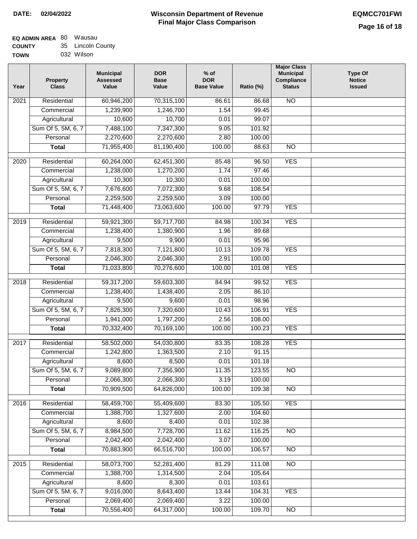| <b>EQ ADMIN AREA 80 Wausau</b> |                   |
|--------------------------------|-------------------|
| <b>COUNTY</b>                  | 35 Lincoln County |
| <b>TOWN</b>                    | 032 Wilson        |

| Year              | <b>Property</b><br><b>Class</b> | <b>Municipal</b><br><b>Assessed</b><br>Value | <b>DOR</b><br><b>Base</b><br>Value | $%$ of<br><b>DOR</b><br><b>Base Value</b> | Ratio (%) | <b>Major Class</b><br><b>Municipal</b><br>Compliance<br><b>Status</b> | Type Of<br><b>Notice</b><br><b>Issued</b> |
|-------------------|---------------------------------|----------------------------------------------|------------------------------------|-------------------------------------------|-----------|-----------------------------------------------------------------------|-------------------------------------------|
| $\overline{202}1$ | Residential                     | 60,946,200                                   | 70,315,100                         | 86.61                                     | 86.68     | <b>NO</b>                                                             |                                           |
|                   | Commercial                      | 1,239,900                                    | 1,246,700                          | 1.54                                      | 99.45     |                                                                       |                                           |
|                   | Agricultural                    | 10,600                                       | 10,700                             | 0.01                                      | 99.07     |                                                                       |                                           |
|                   | Sum Of 5, 5M, 6, 7              | 7,488,100                                    | 7,347,300                          | 9.05                                      | 101.92    |                                                                       |                                           |
|                   | Personal                        | 2,270,600                                    | 2,270,600                          | 2.80                                      | 100.00    |                                                                       |                                           |
|                   | <b>Total</b>                    | 71,955,400                                   | 81,190,400                         | 100.00                                    | 88.63     | $\overline{NO}$                                                       |                                           |
| $\overline{2020}$ | Residential                     | 60,264,000                                   | 62,451,300                         | 85.48                                     | 96.50     | <b>YES</b>                                                            |                                           |
|                   | Commercial                      | 1,238,000                                    | 1,270,200                          | 1.74                                      | 97.46     |                                                                       |                                           |
|                   | Agricultural                    | 10,300                                       | 10,300                             | 0.01                                      | 100.00    |                                                                       |                                           |
|                   | Sum Of 5, 5M, 6, 7              | 7,676,600                                    | 7,072,300                          | 9.68                                      | 108.54    |                                                                       |                                           |
|                   | Personal                        | 2,259,500                                    | 2,259,500                          | 3.09                                      | 100.00    |                                                                       |                                           |
|                   | <b>Total</b>                    | 71,448,400                                   | 73,063,600                         | 100.00                                    | 97.79     | <b>YES</b>                                                            |                                           |
| 2019              | Residential                     | 59,921,300                                   | 59,717,700                         | 84.98                                     | 100.34    | <b>YES</b>                                                            |                                           |
|                   | Commercial                      | 1,238,400                                    | 1,380,900                          | 1.96                                      | 89.68     |                                                                       |                                           |
|                   | Agricultural                    | 9,500                                        | 9,900                              | 0.01                                      | 95.96     |                                                                       |                                           |
|                   | Sum Of 5, 5M, 6, 7              | 7,818,300                                    | 7,121,800                          | 10.13                                     | 109.78    | <b>YES</b>                                                            |                                           |
|                   | Personal                        | 2,046,300                                    | 2,046,300                          | 2.91                                      | 100.00    |                                                                       |                                           |
|                   | <b>Total</b>                    | 71,033,800                                   | 70,276,600                         | 100.00                                    | 101.08    | <b>YES</b>                                                            |                                           |
|                   |                                 |                                              |                                    |                                           |           |                                                                       |                                           |
| 2018              | Residential                     | 59,317,200                                   | 59,603,300                         | 84.94                                     | 99.52     | <b>YES</b>                                                            |                                           |
|                   | Commercial                      | 1,238,400                                    | 1,438,400                          | 2.05                                      | 86.10     |                                                                       |                                           |
|                   | Agricultural                    | 9,500                                        | 9,600                              | 0.01                                      | 98.96     |                                                                       |                                           |
|                   | Sum Of 5, 5M, 6, 7              | 7,826,300                                    | 7,320,600                          | 10.43                                     | 106.91    | <b>YES</b>                                                            |                                           |
|                   | Personal                        | 1,941,000                                    | 1,797,200                          | 2.56                                      | 108.00    |                                                                       |                                           |
|                   | <b>Total</b>                    | 70,332,400                                   | 70,169,100                         | 100.00                                    | 100.23    | <b>YES</b>                                                            |                                           |
| 2017              | Residential                     | 58,502,000                                   | 54,030,800                         | 83.35                                     | 108.28    | <b>YES</b>                                                            |                                           |
|                   | Commercial                      | 1,242,800                                    | 1,363,500                          | 2.10                                      | 91.15     |                                                                       |                                           |
|                   | Agricultural                    | 8,600                                        | 8,500                              | 0.01                                      | 101.18    |                                                                       |                                           |
|                   | Sum Of 5, 5M, 6, 7              | 9,089,800                                    | 7,356,900                          | 11.35                                     | 123.55    | N <sub>O</sub>                                                        |                                           |
|                   | Personal                        | 2,066,300                                    | 2,066,300                          | 3.19                                      | 100.00    |                                                                       |                                           |
|                   | <b>Total</b>                    | 70,909,500                                   | 64,826,000                         | 100.00                                    | 109.38    | <b>NO</b>                                                             |                                           |
| 2016              | Residential                     | 58,459,700                                   | 55,409,600                         | 83.30                                     | 105.50    | <b>YES</b>                                                            |                                           |
|                   | Commercial                      | 1,388,700                                    | 1,327,600                          | 2.00                                      | 104.60    |                                                                       |                                           |
|                   | Agricultural                    | 8,600                                        | 8,400                              | 0.01                                      | 102.38    |                                                                       |                                           |
|                   | Sum Of 5, 5M, 6, 7              | 8,984,500                                    | 7,728,700                          | 11.62                                     | 116.25    | $\overline{NO}$                                                       |                                           |
|                   | Personal                        | 2,042,400                                    | 2,042,400                          | 3.07                                      | 100.00    |                                                                       |                                           |
|                   | <b>Total</b>                    | 70,883,900                                   | 66,516,700                         | 100.00                                    | 106.57    | $\overline{NO}$                                                       |                                           |
| 2015              | Residential                     | 58,073,700                                   | 52,281,400                         | 81.29                                     | 111.08    | $\overline{NO}$                                                       |                                           |
|                   | Commercial                      | 1,388,700                                    | 1,314,500                          | 2.04                                      | 105.64    |                                                                       |                                           |
|                   | Agricultural                    | 8,600                                        | 8,300                              | 0.01                                      | 103.61    |                                                                       |                                           |
|                   | Sum Of 5, 5M, 6, 7              | 9,016,000                                    | 8,643,400                          | 13.44                                     | 104.31    | <b>YES</b>                                                            |                                           |
|                   | Personal                        | 2,069,400                                    | 2,069,400                          | 3.22                                      | 100.00    |                                                                       |                                           |
|                   | <b>Total</b>                    | 70,556,400                                   | 64,317,000                         | 100.00                                    | 109.70    | NO                                                                    |                                           |
|                   |                                 |                                              |                                    |                                           |           |                                                                       |                                           |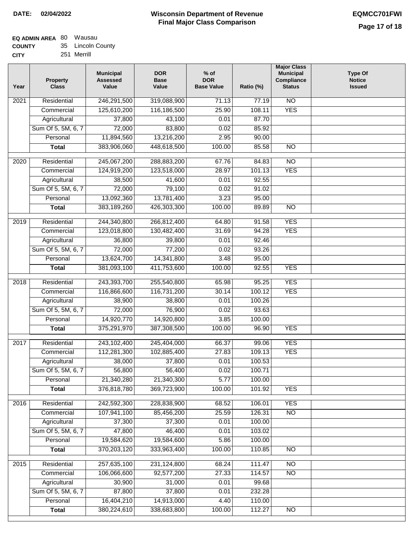| EQ ADMIN AREA 80 Wausau |                   |
|-------------------------|-------------------|
| <b>COUNTY</b>           | 35 Lincoln County |

| ------      |             |  |
|-------------|-------------|--|
| <b>CITY</b> | 251 Merrill |  |

| Year             | <b>Property</b><br><b>Class</b> | <b>Municipal</b><br><b>Assessed</b><br>Value | <b>DOR</b><br><b>Base</b><br>Value | $%$ of<br><b>DOR</b><br><b>Base Value</b> | Ratio (%) | <b>Major Class</b><br><b>Municipal</b><br>Compliance<br><b>Status</b> | <b>Type Of</b><br><b>Notice</b><br><b>Issued</b> |
|------------------|---------------------------------|----------------------------------------------|------------------------------------|-------------------------------------------|-----------|-----------------------------------------------------------------------|--------------------------------------------------|
| 2021             | Residential                     | 246,291,500                                  | 319,088,900                        | 71.13                                     | 77.19     | $\overline{NO}$                                                       |                                                  |
|                  | Commercial                      | 125,610,200                                  | 116,186,500                        | 25.90                                     | 108.11    | <b>YES</b>                                                            |                                                  |
|                  | Agricultural                    | 37,800                                       | 43,100                             | 0.01                                      | 87.70     |                                                                       |                                                  |
|                  | Sum Of 5, 5M, 6, 7              | 72,000                                       | 83,800                             | 0.02                                      | 85.92     |                                                                       |                                                  |
|                  | Personal                        | 11,894,560                                   | 13,216,200                         | 2.95                                      | 90.00     |                                                                       |                                                  |
|                  | <b>Total</b>                    | 383,906,060                                  | 448,618,500                        | 100.00                                    | 85.58     | $\overline{NO}$                                                       |                                                  |
| $\frac{1}{2020}$ | Residential                     | 245,067,200                                  | 288,883,200                        | 67.76                                     | 84.83     | NO                                                                    |                                                  |
|                  | Commercial                      | 124,919,200                                  | 123,518,000                        | 28.97                                     | 101.13    | <b>YES</b>                                                            |                                                  |
|                  | Agricultural                    | 38,500                                       | 41,600                             | 0.01                                      | 92.55     |                                                                       |                                                  |
|                  | Sum Of 5, 5M, 6, 7              | 72,000                                       | 79,100                             | 0.02                                      | 91.02     |                                                                       |                                                  |
|                  | Personal                        | 13,092,360                                   | 13,781,400                         | 3.23                                      | 95.00     |                                                                       |                                                  |
|                  | <b>Total</b>                    | 383,189,260                                  | 426,303,300                        | 100.00                                    | 89.89     | <b>NO</b>                                                             |                                                  |
|                  |                                 |                                              |                                    |                                           |           |                                                                       |                                                  |
| $\frac{1}{2019}$ | Residential                     | 244,340,800                                  | 266,812,400                        | 64.80                                     | 91.58     | <b>YES</b>                                                            |                                                  |
|                  | Commercial                      | 123,018,800                                  | 130,482,400                        | 31.69                                     | 94.28     | <b>YES</b>                                                            |                                                  |
|                  | Agricultural                    | 36,800                                       | 39,800                             | 0.01                                      | 92.46     |                                                                       |                                                  |
|                  | Sum Of 5, 5M, 6, 7              | 72,000                                       | 77,200                             | 0.02                                      | 93.26     |                                                                       |                                                  |
|                  | Personal                        | 13,624,700                                   | 14,341,800                         | 3.48                                      | 95.00     |                                                                       |                                                  |
|                  | <b>Total</b>                    | 381,093,100                                  | 411,753,600                        | 100.00                                    | 92.55     | <b>YES</b>                                                            |                                                  |
| 2018             | Residential                     | 243,393,700                                  | 255,540,800                        | 65.98                                     | 95.25     | <b>YES</b>                                                            |                                                  |
|                  | Commercial                      | 116,866,600                                  | 116,731,200                        | 30.14                                     | 100.12    | <b>YES</b>                                                            |                                                  |
|                  | Agricultural                    | 38,900                                       | 38,800                             | 0.01                                      | 100.26    |                                                                       |                                                  |
|                  | Sum Of 5, 5M, 6, 7              | 72,000                                       | 76,900                             | 0.02                                      | 93.63     |                                                                       |                                                  |
|                  | Personal                        | 14,920,770                                   | 14,920,800                         | 3.85                                      | 100.00    |                                                                       |                                                  |
|                  | <b>Total</b>                    | 375,291,970                                  | 387,308,500                        | 100.00                                    | 96.90     | <b>YES</b>                                                            |                                                  |
| 2017             | Residential                     | 243,102,400                                  | 245,404,000                        | 66.37                                     | 99.06     | <b>YES</b>                                                            |                                                  |
|                  | Commercial                      | 112,281,300                                  | 102,885,400                        | 27.83                                     | 109.13    | <b>YES</b>                                                            |                                                  |
|                  | Agricultural                    | 38,000                                       | 37,800                             | 0.01                                      | 100.53    |                                                                       |                                                  |
|                  | Sum Of 5, 5M, 6, 7              | 56,800                                       | 56,400                             | 0.02                                      | 100.71    |                                                                       |                                                  |
|                  | Personal                        | 21,340,280                                   | 21,340,300                         | 5.77                                      | 100.00    |                                                                       |                                                  |
|                  | <b>Total</b>                    | 376,818,780                                  | 369,723,900                        | 100.00                                    | 101.92    | <b>YES</b>                                                            |                                                  |
| 2016             | Residential                     | 242,592,300                                  | 228,838,900                        | 68.52                                     | 106.01    | <b>YES</b>                                                            |                                                  |
|                  | Commercial                      | 107,941,100                                  | 85,456,200                         | 25.59                                     | 126.31    | $\overline{NO}$                                                       |                                                  |
|                  | Agricultural                    | 37,300                                       | 37,300                             | 0.01                                      | 100.00    |                                                                       |                                                  |
|                  | Sum Of 5, 5M, 6, 7              | 47,800                                       | 46,400                             | 0.01                                      | 103.02    |                                                                       |                                                  |
|                  | Personal                        | 19,584,620                                   | 19,584,600                         | 5.86                                      | 100.00    |                                                                       |                                                  |
|                  | <b>Total</b>                    | 370,203,120                                  | 333,963,400                        | 100.00                                    | 110.85    | $\overline{NO}$                                                       |                                                  |
| 2015             | Residential                     | 257,635,100                                  | 231,124,800                        | 68.24                                     | 111.47    | <b>NO</b>                                                             |                                                  |
|                  | Commercial                      | 106,066,600                                  | 92,577,200                         | 27.33                                     | 114.57    | $\overline{NO}$                                                       |                                                  |
|                  | Agricultural                    | 30,900                                       | 31,000                             | 0.01                                      | 99.68     |                                                                       |                                                  |
|                  | Sum Of 5, 5M, 6, 7              | 87,800                                       | 37,800                             | 0.01                                      | 232.28    |                                                                       |                                                  |
|                  | Personal                        | 16,404,210                                   | 14,913,000                         | 4.40                                      | 110.00    |                                                                       |                                                  |
|                  | <b>Total</b>                    | 380,224,610                                  | 338,683,800                        | 100.00                                    | 112.27    | $\overline{NO}$                                                       |                                                  |
|                  |                                 |                                              |                                    |                                           |           |                                                                       |                                                  |